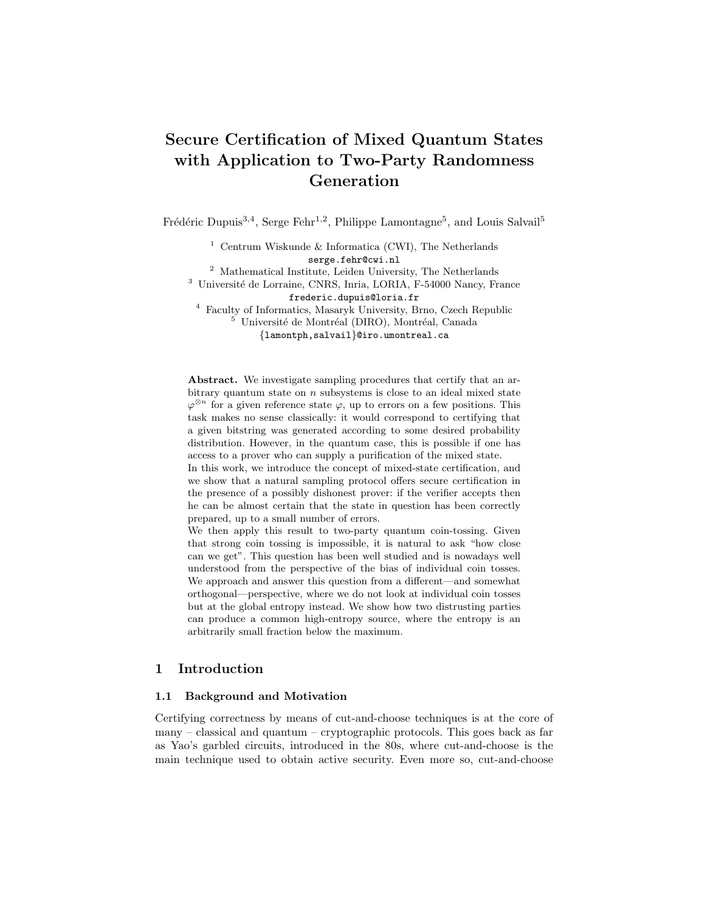# Secure Certification of Mixed Quantum States with Application to Two-Party Randomness Generation

Frédéric Dupuis<sup>3,4</sup>, Serge Fehr<sup>1,2</sup>, Philippe Lamontagne<sup>5</sup>, and Louis Salvail<sup>5</sup>

<sup>1</sup> Centrum Wiskunde & Informatica (CWI), The Netherlands serge.fehr@cwi.nl

<sup>2</sup> Mathematical Institute, Leiden University, The Netherlands

<sup>3</sup> Université de Lorraine, CNRS, Inria, LORIA, F-54000 Nancy, France frederic.dupuis@loria.fr

<sup>4</sup> Faculty of Informatics, Masaryk University, Brno, Czech Republic <sup>5</sup> Université de Montréal (DIRO), Montréal, Canada

{lamontph,salvail}@iro.umontreal.ca

Abstract. We investigate sampling procedures that certify that an arbitrary quantum state on  $n$  subsystems is close to an ideal mixed state  $\varphi^{\otimes n}$  for a given reference state  $\varphi$ , up to errors on a few positions. This task makes no sense classically: it would correspond to certifying that a given bitstring was generated according to some desired probability distribution. However, in the quantum case, this is possible if one has access to a prover who can supply a purification of the mixed state.

In this work, we introduce the concept of mixed-state certification, and we show that a natural sampling protocol offers secure certification in the presence of a possibly dishonest prover: if the verifier accepts then he can be almost certain that the state in question has been correctly prepared, up to a small number of errors.

We then apply this result to two-party quantum coin-tossing. Given that strong coin tossing is impossible, it is natural to ask "how close can we get". This question has been well studied and is nowadays well understood from the perspective of the bias of individual coin tosses. We approach and answer this question from a different—and somewhat orthogonal—perspective, where we do not look at individual coin tosses but at the global entropy instead. We show how two distrusting parties can produce a common high-entropy source, where the entropy is an arbitrarily small fraction below the maximum.

# 1 Introduction

## 1.1 Background and Motivation

Certifying correctness by means of cut-and-choose techniques is at the core of  $m$ many – classical and quantum – cryptographic protocols. This goes back as far as Yao's garbled circuits, introduced in the 80s, where cut-and-choose is the main technique used to obtain active security. Even more so, cut-and-choose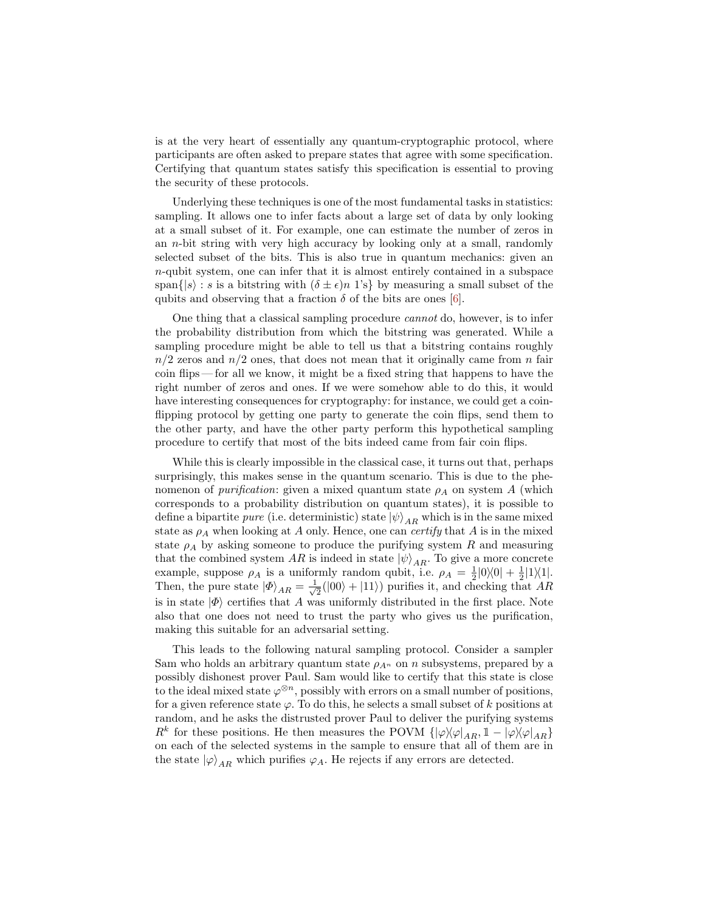is at the very heart of essentially any quantum-cryptographic protocol, where participants are often asked to prepare states that agree with some specification. Certifying that quantum states satisfy this specification is essential to proving the security of these protocols.

Underlying these techniques is one of the most fundamental tasks in statistics: sampling. It allows one to infer facts about a large set of data by only looking at a small subset of it. For example, one can estimate the number of zeros in an n-bit string with very high accuracy by looking only at a small, randomly selected subset of the bits. This is also true in quantum mechanics: given an  $n$ -qubit system, one can infer that it is almost entirely contained in a subspace span $\{|s\rangle : s$  is a bitstring with  $(\delta \pm \epsilon)n$  1's by measuring a small subset of the qubits and observing that a fraction  $\delta$  of the bits are ones [\[6\]](#page-26-0).

One thing that a classical sampling procedure cannot do, however, is to infer the probability distribution from which the bitstring was generated. While a sampling procedure might be able to tell us that a bitstring contains roughly  $n/2$  zeros and  $n/2$  ones, that does not mean that it originally came from n fair coin flips — for all we know, it might be a fixed string that happens to have the right number of zeros and ones. If we were somehow able to do this, it would have interesting consequences for cryptography: for instance, we could get a coinflipping protocol by getting one party to generate the coin flips, send them to the other party, and have the other party perform this hypothetical sampling procedure to certify that most of the bits indeed came from fair coin flips.

While this is clearly impossible in the classical case, it turns out that, perhaps surprisingly, this makes sense in the quantum scenario. This is due to the phenomenon of *purification*: given a mixed quantum state  $\rho_A$  on system A (which corresponds to a probability distribution on quantum states), it is possible to define a bipartite *pure* (i.e. deterministic) state  $|\psi\rangle_{AR}$  which is in the same mixed state as  $\rho_A$  when looking at A only. Hence, one can *certify* that A is in the mixed state  $\rho_A$  by asking someone to produce the purifying system R and measuring that the combined system AR is indeed in state  $|\psi\rangle_{AR}$ . To give a more concrete example, suppose  $\rho_A$  is a uniformly random qubit, i.e.  $\rho_A = \frac{1}{2} |0\rangle\langle 0| + \frac{1}{2} |1\rangle\langle 1|$ . Then, the pure state  $|\Phi\rangle_{AR} = \frac{1}{\sqrt{2}}$  $\frac{1}{2}(|00\rangle + |11\rangle)$  purifies it, and checking that AR is in state  $|\Phi\rangle$  certifies that A was uniformly distributed in the first place. Note also that one does not need to trust the party who gives us the purification, making this suitable for an adversarial setting.

This leads to the following natural sampling protocol. Consider a sampler Sam who holds an arbitrary quantum state  $\rho_{A^n}$  on n subsystems, prepared by a possibly dishonest prover Paul. Sam would like to certify that this state is close to the ideal mixed state  $\varphi^{\otimes n}$ , possibly with errors on a small number of positions, for a given reference state  $\varphi$ . To do this, he selects a small subset of k positions at random, and he asks the distrusted prover Paul to deliver the purifying systems  $R^k$  for these positions. He then measures the POVM  $\{ |\varphi\rangle\langle\varphi|_{AR}, 1 - |\varphi\rangle\langle\varphi|_{AR} \}$ on each of the selected systems in the sample to ensure that all of them are in the state  $|\varphi\rangle_{AB}$  which purifies  $\varphi_A$ . He rejects if any errors are detected.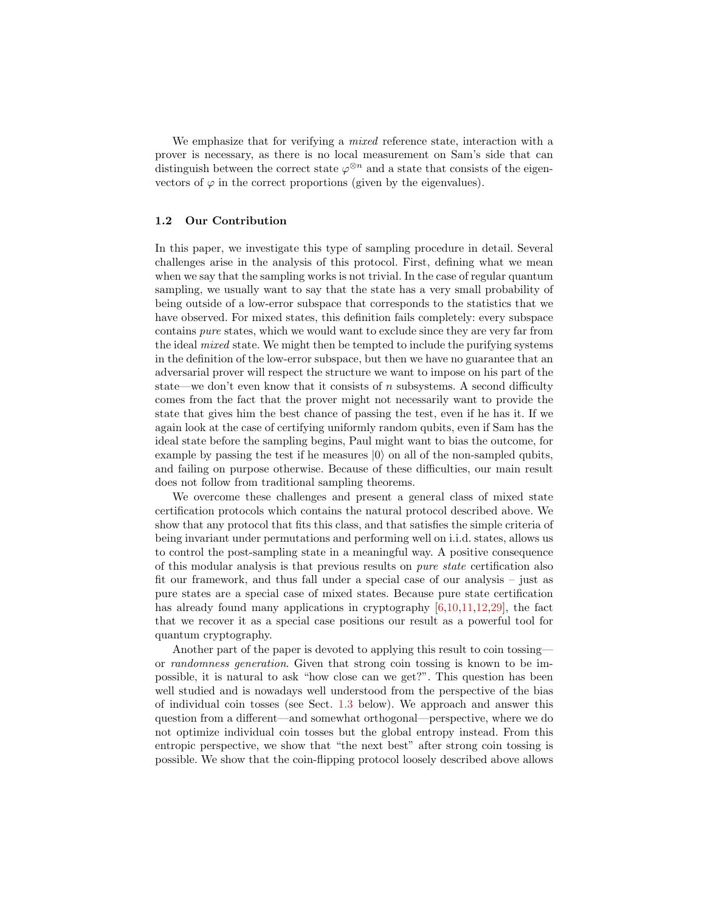We emphasize that for verifying a *mixed* reference state, interaction with a prover is necessary, as there is no local measurement on Sam's side that can distinguish between the correct state  $\varphi^{\otimes n}$  and a state that consists of the eigenvectors of  $\varphi$  in the correct proportions (given by the eigenvalues).

## 1.2 Our Contribution

In this paper, we investigate this type of sampling procedure in detail. Several challenges arise in the analysis of this protocol. First, defining what we mean when we say that the sampling works is not trivial. In the case of regular quantum sampling, we usually want to say that the state has a very small probability of being outside of a low-error subspace that corresponds to the statistics that we have observed. For mixed states, this definition fails completely: every subspace contains pure states, which we would want to exclude since they are very far from the ideal *mixed* state. We might then be tempted to include the purifying systems in the definition of the low-error subspace, but then we have no guarantee that an adversarial prover will respect the structure we want to impose on his part of the state—we don't even know that it consists of  $n$  subsystems. A second difficulty comes from the fact that the prover might not necessarily want to provide the state that gives him the best chance of passing the test, even if he has it. If we again look at the case of certifying uniformly random qubits, even if Sam has the ideal state before the sampling begins, Paul might want to bias the outcome, for example by passing the test if he measures  $|0\rangle$  on all of the non-sampled qubits, and failing on purpose otherwise. Because of these difficulties, our main result does not follow from traditional sampling theorems.

We overcome these challenges and present a general class of mixed state certification protocols which contains the natural protocol described above. We show that any protocol that fits this class, and that satisfies the simple criteria of being invariant under permutations and performing well on i.i.d. states, allows us to control the post-sampling state in a meaningful way. A positive consequence of this modular analysis is that previous results on pure state certification also fit our framework, and thus fall under a special case of our analysis – just as pure states are a special case of mixed states. Because pure state certification has already found many applications in cryptography  $[6,10,11,12,29]$  $[6,10,11,12,29]$  $[6,10,11,12,29]$  $[6,10,11,12,29]$  $[6,10,11,12,29]$ , the fact that we recover it as a special case positions our result as a powerful tool for quantum cryptography.

Another part of the paper is devoted to applying this result to coin tossing or randomness generation. Given that strong coin tossing is known to be impossible, it is natural to ask "how close can we get?". This question has been well studied and is nowadays well understood from the perspective of the bias of individual coin tosses (see Sect. [1.3](#page-3-0) below). We approach and answer this question from a different—and somewhat orthogonal—perspective, where we do not optimize individual coin tosses but the global entropy instead. From this entropic perspective, we show that "the next best" after strong coin tossing is possible. We show that the coin-flipping protocol loosely described above allows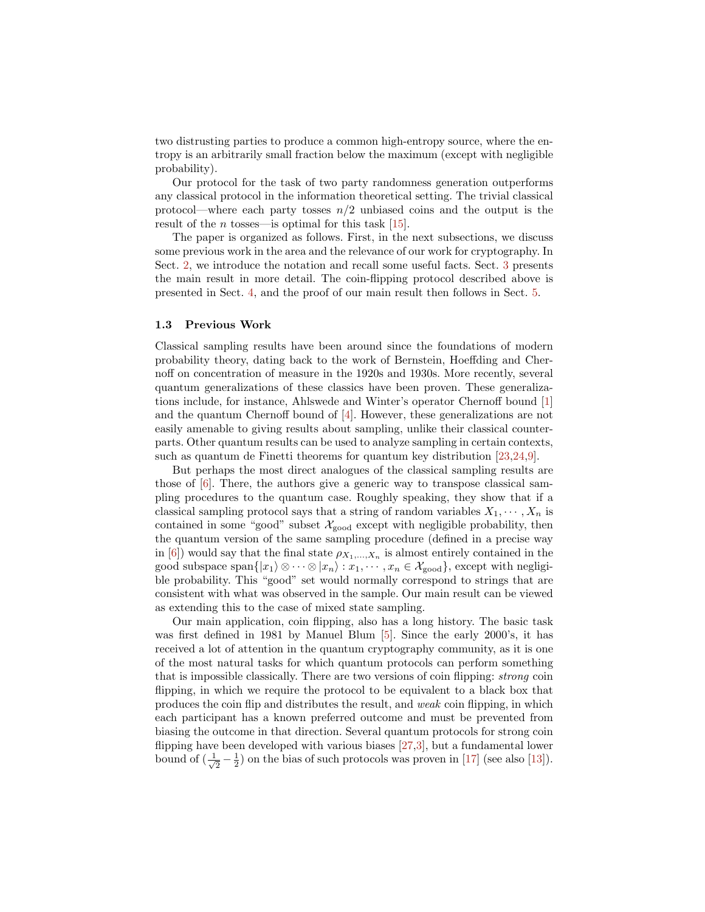two distrusting parties to produce a common high-entropy source, where the entropy is an arbitrarily small fraction below the maximum (except with negligible probability).

Our protocol for the task of two party randomness generation outperforms any classical protocol in the information theoretical setting. The trivial classical protocol—where each party tosses  $n/2$  unbiased coins and the output is the result of the *n* tosses—is optimal for this task  $[15]$ .

The paper is organized as follows. First, in the next subsections, we discuss some previous work in the area and the relevance of our work for cryptography. In Sect. [2,](#page-6-0) we introduce the notation and recall some useful facts. Sect. [3](#page-8-0) presents the main result in more detail. The coin-flipping protocol described above is presented in Sect. [4,](#page-12-0) and the proof of our main result then follows in Sect. [5.](#page-16-0)

#### <span id="page-3-0"></span>1.3 Previous Work

Classical sampling results have been around since the foundations of modern probability theory, dating back to the work of Bernstein, Hoeffding and Chernoff on concentration of measure in the 1920s and 1930s. More recently, several quantum generalizations of these classics have been proven. These generalizations include, for instance, Ahlswede and Winter's operator Chernoff bound [\[1\]](#page-26-1) and the quantum Chernoff bound of [\[4\]](#page-26-2). However, these generalizations are not easily amenable to giving results about sampling, unlike their classical counterparts. Other quantum results can be used to analyze sampling in certain contexts, such as quantum de Finetti theorems for quantum key distribution [\[23,](#page-27-5)[24,](#page-27-6)[9\]](#page-26-3).

But perhaps the most direct analogues of the classical sampling results are those of  $[6]$ . There, the authors give a generic way to transpose classical sampling procedures to the quantum case. Roughly speaking, they show that if a classical sampling protocol says that a string of random variables  $X_1, \dots, X_n$  is contained in some "good" subset  $\mathcal{X}_{good}$  except with negligible probability, then the quantum version of the same sampling procedure (defined in a precise way in [\[6\]](#page-26-0)) would say that the final state  $\rho_{X_1,...,X_n}$  is almost entirely contained in the good subspace span $\{|x_1\rangle \otimes \cdots \otimes |x_n\rangle : x_1, \cdots, x_n \in \mathcal{X}_{good}\}$ , except with negligible probability. This "good" set would normally correspond to strings that are consistent with what was observed in the sample. Our main result can be viewed as extending this to the case of mixed state sampling.

Our main application, coin flipping, also has a long history. The basic task was first defined in 1981 by Manuel Blum [\[5\]](#page-26-4). Since the early 2000's, it has received a lot of attention in the quantum cryptography community, as it is one of the most natural tasks for which quantum protocols can perform something that is impossible classically. There are two versions of coin flipping: strong coin flipping, in which we require the protocol to be equivalent to a black box that produces the coin flip and distributes the result, and weak coin flipping, in which each participant has a known preferred outcome and must be prevented from biasing the outcome in that direction. Several quantum protocols for strong coin flipping have been developed with various biases [\[27,](#page-27-7)[3\]](#page-26-5), but a fundamental lower bound of  $\left(\frac{1}{\sqrt{2}}\right)$  $\frac{1}{2} - \frac{1}{2}$  on the bias of such protocols was proven in [\[17\]](#page-27-8) (see also [\[13\]](#page-27-9)).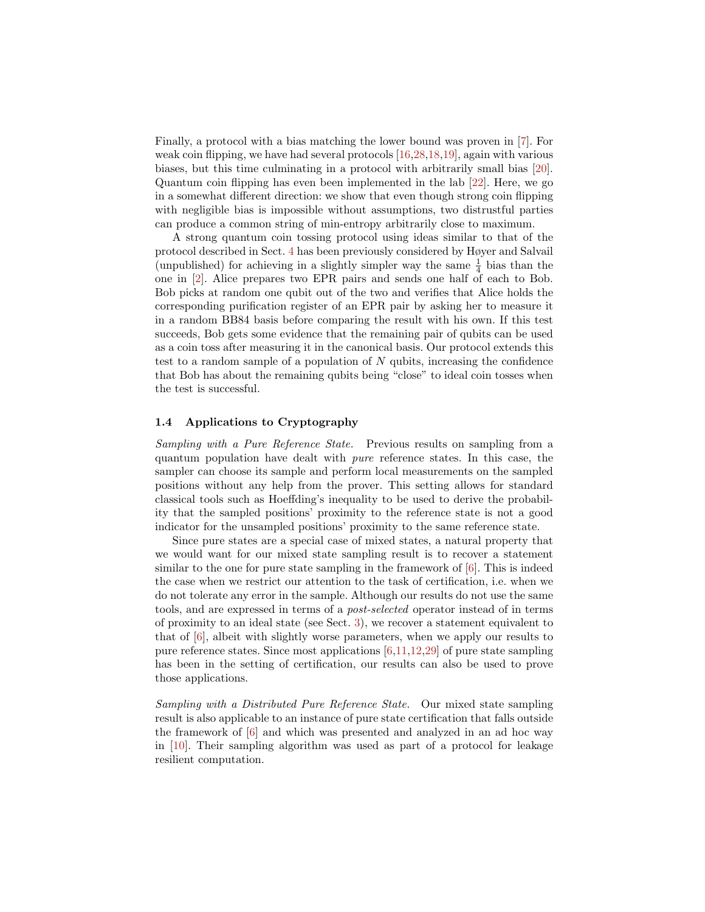Finally, a protocol with a bias matching the lower bound was proven in [\[7\]](#page-26-6). For weak coin flipping, we have had several protocols [\[16,](#page-27-10)[28](#page-27-11)[,18,](#page-27-12)[19\]](#page-27-13), again with various biases, but this time culminating in a protocol with arbitrarily small bias [\[20\]](#page-27-14). Quantum coin flipping has even been implemented in the lab [\[22\]](#page-27-15). Here, we go in a somewhat different direction: we show that even though strong coin flipping with negligible bias is impossible without assumptions, two distrustful parties can produce a common string of min-entropy arbitrarily close to maximum.

A strong quantum coin tossing protocol using ideas similar to that of the protocol described in Sect. [4](#page-12-0) has been previously considered by Høyer and Salvail (unpublished) for achieving in a slightly simpler way the same  $\frac{1}{4}$  bias than the one in [\[2\]](#page-26-7). Alice prepares two EPR pairs and sends one half of each to Bob. Bob picks at random one qubit out of the two and verifies that Alice holds the corresponding purification register of an EPR pair by asking her to measure it in a random BB84 basis before comparing the result with his own. If this test succeeds, Bob gets some evidence that the remaining pair of qubits can be used as a coin toss after measuring it in the canonical basis. Our protocol extends this test to a random sample of a population of  $N$  qubits, increasing the confidence that Bob has about the remaining qubits being "close" to ideal coin tosses when the test is successful.

## 1.4 Applications to Cryptography

Sampling with a Pure Reference State. Previous results on sampling from a quantum population have dealt with pure reference states. In this case, the sampler can choose its sample and perform local measurements on the sampled positions without any help from the prover. This setting allows for standard classical tools such as Hoeffding's inequality to be used to derive the probability that the sampled positions' proximity to the reference state is not a good indicator for the unsampled positions' proximity to the same reference state.

Since pure states are a special case of mixed states, a natural property that we would want for our mixed state sampling result is to recover a statement similar to the one for pure state sampling in the framework of  $[6]$ . This is indeed the case when we restrict our attention to the task of certification, i.e. when we do not tolerate any error in the sample. Although our results do not use the same tools, and are expressed in terms of a post-selected operator instead of in terms of proximity to an ideal state (see Sect. [3\)](#page-8-0), we recover a statement equivalent to that of [\[6\]](#page-26-0), albeit with slightly worse parameters, when we apply our results to pure reference states. Since most applications [\[6,](#page-26-0)[11,](#page-27-1)[12](#page-27-2)[,29\]](#page-27-3) of pure state sampling has been in the setting of certification, our results can also be used to prove those applications.

Sampling with a Distributed Pure Reference State. Our mixed state sampling result is also applicable to an instance of pure state certification that falls outside the framework of [\[6\]](#page-26-0) and which was presented and analyzed in an ad hoc way in [\[10\]](#page-27-0). Their sampling algorithm was used as part of a protocol for leakage resilient computation.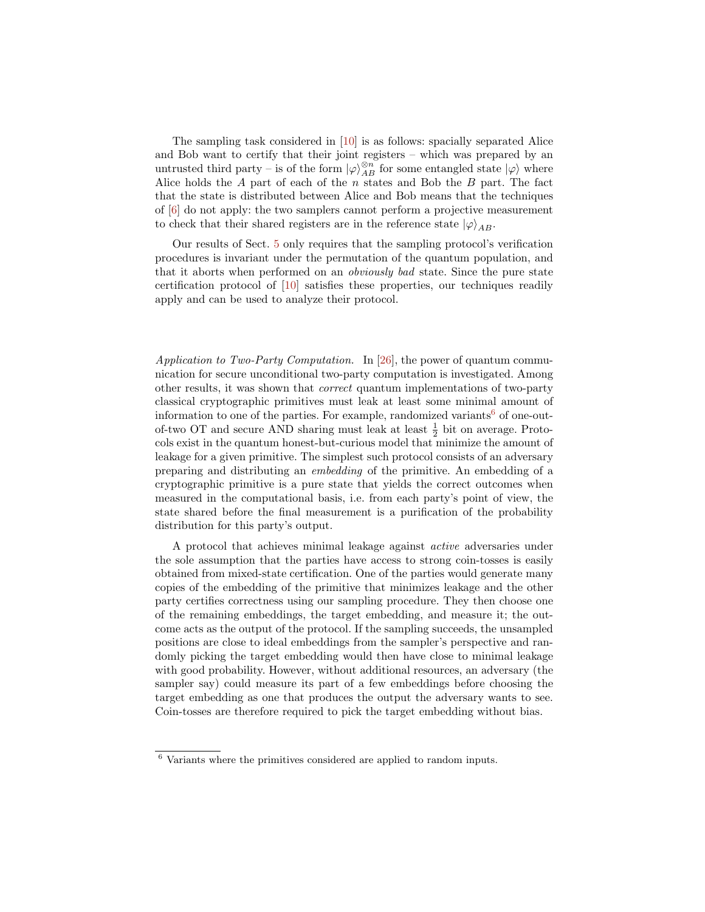The sampling task considered in [\[10\]](#page-27-0) is as follows: spacially separated Alice and Bob want to certify that their joint registers – which was prepared by an untrusted third party – is of the form  $|\varphi\rangle_{AB}^{\otimes n}$  for some entangled state  $|\varphi\rangle$  where Alice holds the  $A$  part of each of the  $n$  states and Bob the  $B$  part. The fact that the state is distributed between Alice and Bob means that the techniques of [\[6\]](#page-26-0) do not apply: the two samplers cannot perform a projective measurement to check that their shared registers are in the reference state  $|\varphi\rangle_{AB}$ .

Our results of Sect. [5](#page-16-0) only requires that the sampling protocol's verification procedures is invariant under the permutation of the quantum population, and that it aborts when performed on an obviously bad state. Since the pure state certification protocol of [\[10\]](#page-27-0) satisfies these properties, our techniques readily apply and can be used to analyze their protocol.

Application to Two-Party Computation. In [\[26\]](#page-27-16), the power of quantum communication for secure unconditional two-party computation is investigated. Among other results, it was shown that correct quantum implementations of two-party classical cryptographic primitives must leak at least some minimal amount of information to one of the parties. For example, randomized variants<sup>[6](#page-5-0)</sup> of one-outof-two OT and secure AND sharing must leak at least  $\frac{1}{2}$  bit on average. Protocols exist in the quantum honest-but-curious model that minimize the amount of leakage for a given primitive. The simplest such protocol consists of an adversary preparing and distributing an embedding of the primitive. An embedding of a cryptographic primitive is a pure state that yields the correct outcomes when measured in the computational basis, i.e. from each party's point of view, the state shared before the final measurement is a purification of the probability distribution for this party's output.

A protocol that achieves minimal leakage against active adversaries under the sole assumption that the parties have access to strong coin-tosses is easily obtained from mixed-state certification. One of the parties would generate many copies of the embedding of the primitive that minimizes leakage and the other party certifies correctness using our sampling procedure. They then choose one of the remaining embeddings, the target embedding, and measure it; the outcome acts as the output of the protocol. If the sampling succeeds, the unsampled positions are close to ideal embeddings from the sampler's perspective and randomly picking the target embedding would then have close to minimal leakage with good probability. However, without additional resources, an adversary (the sampler say) could measure its part of a few embeddings before choosing the target embedding as one that produces the output the adversary wants to see. Coin-tosses are therefore required to pick the target embedding without bias.

<span id="page-5-0"></span><sup>6</sup> Variants where the primitives considered are applied to random inputs.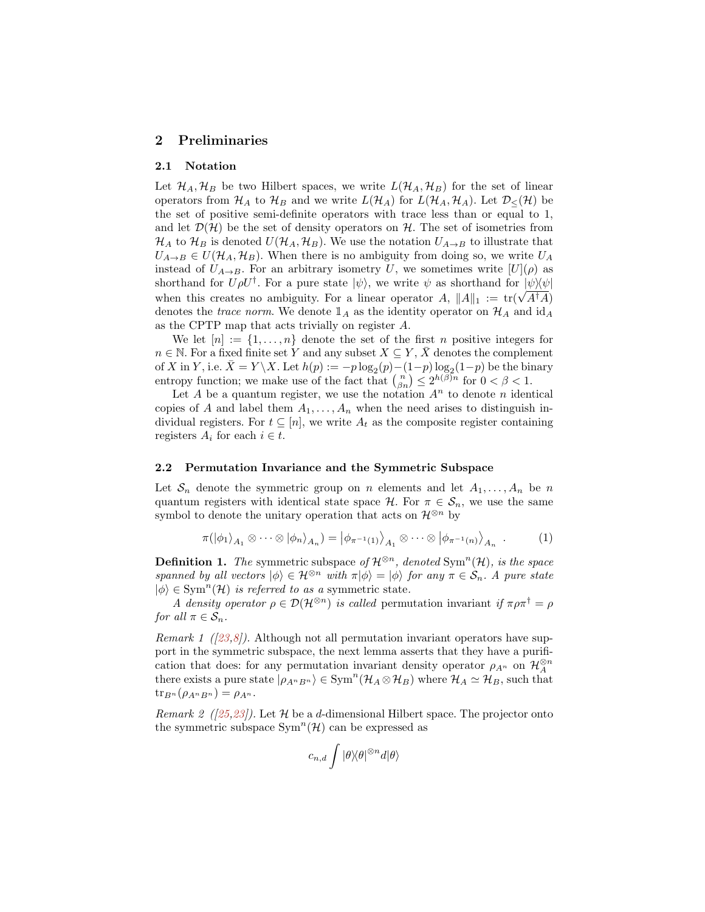# <span id="page-6-0"></span>2 Preliminaries

#### 2.1 Notation

Let  $\mathcal{H}_A, \mathcal{H}_B$  be two Hilbert spaces, we write  $L(\mathcal{H}_A, \mathcal{H}_B)$  for the set of linear operators from  $\mathcal{H}_A$  to  $\mathcal{H}_B$  and we write  $L(\mathcal{H}_A)$  for  $L(\mathcal{H}_A, \mathcal{H}_A)$ . Let  $\mathcal{D}_{<}(\mathcal{H})$  be the set of positive semi-definite operators with trace less than or equal to 1, and let  $\mathcal{D}(\mathcal{H})$  be the set of density operators on  $\mathcal{H}$ . The set of isometries from  $\mathcal{H}_A$  to  $\mathcal{H}_B$  is denoted  $U(\mathcal{H}_A, \mathcal{H}_B)$ . We use the notation  $U_{A\rightarrow B}$  to illustrate that  $U_{A\rightarrow B} \in U(\mathcal{H}_A, \mathcal{H}_B)$ . When there is no ambiguity from doing so, we write  $U_A$ instead of  $U_{A\rightarrow B}$ . For an arbitrary isometry U, we sometimes write  $[U](\rho)$  as shorthand for  $U \rho U^{\dagger}$ . For a pure state  $|\psi\rangle$ , we write  $\psi$  as shorthand for  $|\psi\rangle\langle\psi|$ shorthand for  $U \rho U'$ . For a pure state  $|\psi\rangle$ , we write  $\psi$  as shorthand for  $|\psi\rangle\langle\psi|$  when this creates no ambiguity. For a linear operator  $A$ ,  $||A||_1 := \text{tr}(\sqrt{A^{\dagger}A})$ denotes the *trace norm*. We denote  $\mathbb{1}_A$  as the identity operator on  $\mathcal{H}_A$  and  $\mathrm{id}_A$ as the CPTP map that acts trivially on register A.

We let  $[n] := \{1, \ldots, n\}$  denote the set of the first n positive integers for  $n \in \mathbb{N}$ . For a fixed finite set Y and any subset  $X \subseteq Y$ ,  $\overline{X}$  denotes the complement of X in Y, i.e.  $\bar{X} = Y \backslash X$ . Let  $h(p) := -p \log_2(p) - (1-p) \log_2(1-p)$  be the binary entropy function; we make use of the fact that  $\binom{n}{\beta n} \leq 2^{h(\beta)n}$  for  $0 < \beta < 1$ .

Let  $A$  be a quantum register, we use the notation  $A<sup>n</sup>$  to denote n identical copies of A and label them  $A_1, \ldots, A_n$  when the need arises to distinguish individual registers. For  $t \subseteq [n]$ , we write  $A_t$  as the composite register containing registers  $A_i$  for each  $i \in t$ .

## <span id="page-6-1"></span>2.2 Permutation Invariance and the Symmetric Subspace

Let  $S_n$  denote the symmetric group on n elements and let  $A_1, \ldots, A_n$  be n quantum registers with identical state space  $\mathcal{H}$ . For  $\pi \in \mathcal{S}_n$ , we use the same symbol to denote the unitary operation that acts on  $\mathcal{H}^{\otimes n}$  by

$$
\pi(|\phi_1\rangle_{A_1} \otimes \cdots \otimes |\phi_n\rangle_{A_n}) = |\phi_{\pi^{-1}(1)}\rangle_{A_1} \otimes \cdots \otimes |\phi_{\pi^{-1}(n)}\rangle_{A_n} . \tag{1}
$$

**Definition 1.** The symmetric subspace of  $\mathcal{H}^{\otimes n}$ , denoted Sym<sup>n</sup>(H), is the space spanned by all vectors  $|\phi\rangle \in \mathcal{H}^{\otimes n}$  with  $\pi|\phi\rangle = |\phi\rangle$  for any  $\pi \in \mathcal{S}_n$ . A pure state  $|\phi\rangle \in \text{Sym}^n(\mathcal{H})$  is referred to as a symmetric state.

A density operator  $\rho \in \mathcal{D}(\mathcal{H}^{\otimes n})$  is called permutation invariant if  $\pi \rho \pi^{\dagger} = \rho$ for all  $\pi \in \mathcal{S}_n$ .

Remark 1 ( $[23,8]$  $[23,8]$ ). Although not all permutation invariant operators have support in the symmetric subspace, the next lemma asserts that they have a purification that does: for any permutation invariant density operator  $\rho_{A^n}$  on  $\mathcal{H}_A^{\otimes n}$ there exists a pure state  $|\rho_{A^n B^n}\rangle \in \text{Sym}^n(\mathcal{H}_A \otimes \mathcal{H}_B)$  where  $\mathcal{H}_A \simeq \mathcal{H}_B$ , such that  $\text{tr}_{B^n}(\rho_{A^nB^n}) = \rho_{A^n}.$ 

<span id="page-6-2"></span>*Remark 2 ([\[25](#page-27-17)[,23\]](#page-27-5)).* Let H be a d-dimensional Hilbert space. The projector onto the symmetric subspace  $\text{Sym}^n(\mathcal{H})$  can be expressed as

$$
c_{n,d}\int\left|\theta\right\rangle\!\!\left\langle \theta\right|^{\otimes n}d\vert\theta\rangle
$$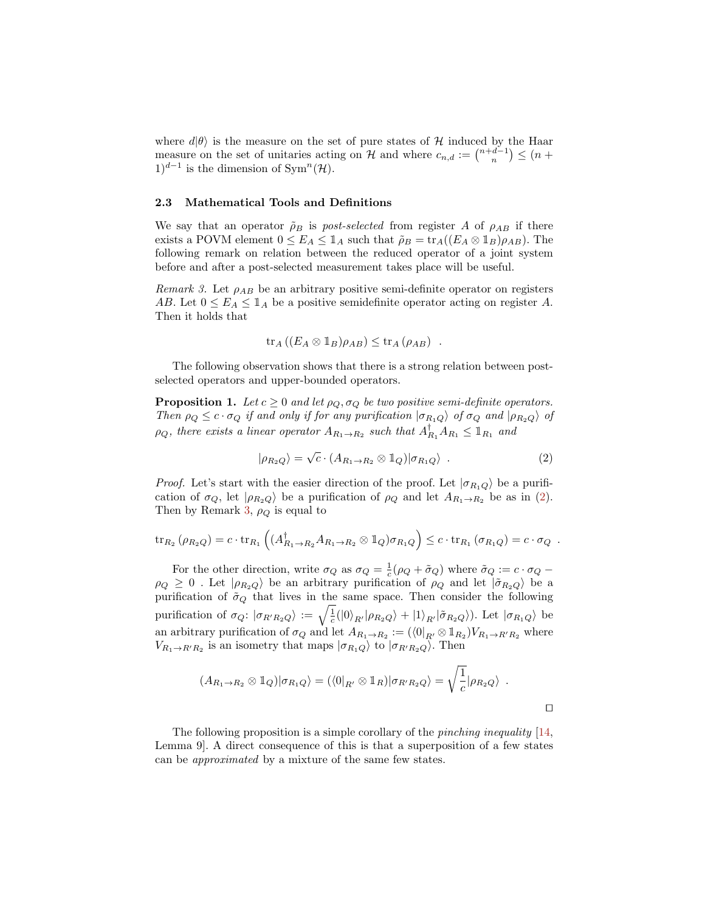where  $d|\theta\rangle$  is the measure on the set of pure states of H induced by the Haar measure on the set of unitaries acting on H and where  $c_{n,d} := \binom{n+d-1}{n} \leq (n +$ 1)<sup>d-1</sup> is the dimension of Sym<sup>n</sup>(H).

#### 2.3 Mathematical Tools and Definitions

We say that an operator  $\rho_B$  is post-selected from register A of  $\rho_{AB}$  if there exists a POVM element  $0 \le E_A \le \mathbb{1}_A$  such that  $\tilde{\rho}_B = \text{tr}_A((E_A \otimes \mathbb{1}_B)\rho_{AB})$ . The following remark on relation between the reduced operator of a joint system before and after a post-selected measurement takes place will be useful.

Remark 3. Let  $\rho_{AB}$  be an arbitrary positive semi-definite operator on registers AB. Let  $0 \leq E_A \leq \mathbb{1}_A$  be a positive semidefinite operator acting on register A. Then it holds that

<span id="page-7-2"></span><span id="page-7-1"></span>
$$
\operatorname{tr}_A ((E_A \otimes 1_B)\rho_{AB}) \leq \operatorname{tr}_A (\rho_{AB}) .
$$

The following observation shows that there is a strong relation between postselected operators and upper-bounded operators.

**Proposition 1.** Let  $c \geq 0$  and let  $\rho_Q$ ,  $\sigma_Q$  be two positive semi-definite operators. Then  $\rho_Q \leq c \cdot \sigma_Q$  if and only if for any purification  $|\sigma_{R_1Q}\rangle$  of  $\sigma_Q$  and  $|\rho_{R_2Q}\rangle$  of  $\rho_Q$ , there exists a linear operator  $A_{R_1 \to R_2}$  such that  $A_{R_1}^{\dagger} A_{R_1} \leq \mathbb{1}_{R_1}$  and

<span id="page-7-0"></span>
$$
|\rho_{R_2Q}\rangle = \sqrt{c} \cdot (A_{R_1 \to R_2} \otimes \mathbb{1}_Q)|\sigma_{R_1Q}\rangle . \tag{2}
$$

*Proof.* Let's start with the easier direction of the proof. Let  $|\sigma_{R_1Q}\rangle$  be a purification of  $\sigma_Q$ , let  $|\rho_{R_2Q}\rangle$  be a purification of  $\rho_Q$  and let  $A_{R_1\to R_2}$  be as in [\(2\)](#page-7-0). Then by Remark [3,](#page-7-1)  $\rho_Q$  is equal to

$$
\operatorname{tr}_{R_2}(\rho_{R_2Q})=c\cdot\operatorname{tr}_{R_1}\left((A_{R_1\to R_2}^{\dagger}A_{R_1\to R_2}\otimes\mathbb{1}_Q)\sigma_{R_1Q}\right)\leq c\cdot\operatorname{tr}_{R_1}(\sigma_{R_1Q})=c\cdot\sigma_Q.
$$

For the other direction, write  $\sigma_Q$  as  $\sigma_Q = \frac{1}{c}(\rho_Q + \tilde{\sigma}_Q)$  where  $\tilde{\sigma}_Q := c \cdot \sigma_Q \rho_Q \geq 0$ . Let  $|\rho_{R_2Q}\rangle$  be an arbitrary purification of  $\rho_Q$  and let  $|\tilde{\sigma}_{R_2Q}\rangle$  be a purification of  $\tilde{\sigma}_Q$  that lives in the same space. Then consider the following purification of  $\sigma_Q$ :  $|\sigma_{R'R_2Q}\rangle := \sqrt{\frac{1}{c}}(|0\rangle_{R'}|\rho_{R_2Q}\rangle + |1\rangle_{R'}|\tilde{\sigma}_{R_2Q}\rangle)$ . Let  $|\sigma_{R_1Q}\rangle$  be an arbitrary purification of  $\sigma_Q$  and let  $A_{R_1 \to R_2} := (\langle 0 |_{R'} \otimes 1 \!\!{\rm I}_{R_2}) V_{R_1 \to R'R_2}$  where  $V_{R_1 \to R'R_2}$  is an isometry that maps  $|\sigma_{R_1Q}\rangle$  to  $|\sigma_{R'R_2Q}\rangle$ . Then

$$
(A_{R_1\to R_2}\otimes 1_Q)|\sigma_{R_1Q}\rangle=(\langle 0|_{R'}\otimes 1_R)|\sigma_{R'R_2Q}\rangle=\sqrt{\frac{1}{c}}| \rho_{R_2Q}\rangle.
$$

<span id="page-7-3"></span> $\Box$ 

The following proposition is a simple corollary of the *pinching inequality*  $[14,$ Lemma 9]. A direct consequence of this is that a superposition of a few states can be approximated by a mixture of the same few states.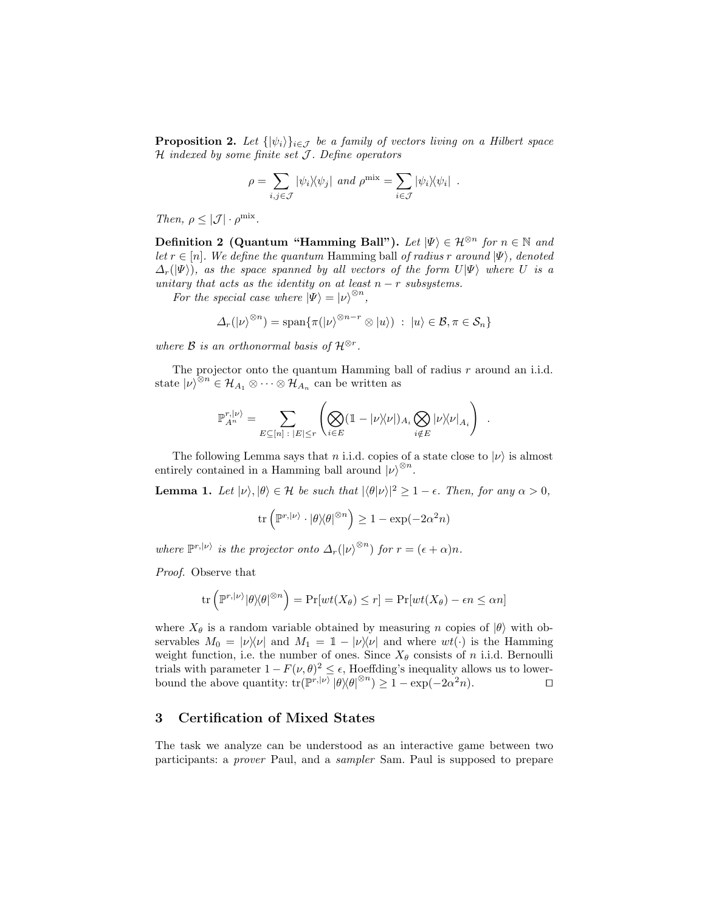**Proposition 2.** Let  $\{|\psi_i\rangle\}_{i\in\mathcal{J}}$  be a family of vectors living on a Hilbert space  $H$  indexed by some finite set  $J$ . Define operators

$$
\rho = \sum_{i,j \in \mathcal{J}} |\psi_i\rangle\langle\psi_j| \text{ and } \rho^{\text{mix}} = \sum_{i \in \mathcal{J}} |\psi_i\rangle\langle\psi_i|.
$$

Then,  $\rho \leq |\mathcal{J}| \cdot \rho^{\text{mix}}$ .

Definition 2 (Quantum "Hamming Ball"). Let  $|\Psi\rangle \in \mathcal{H}^{\otimes n}$  for  $n \in \mathbb{N}$  and let  $r \in [n]$ . We define the quantum Hamming ball of radius r around  $|\Psi\rangle$ , denoted  $\Delta_r(|\Psi\rangle)$ , as the space spanned by all vectors of the form  $U|\Psi\rangle$  where U is a unitary that acts as the identity on at least  $n - r$  subsystems.

For the special case where  $|\Psi\rangle = |\nu\rangle^{\otimes n}$ ,

$$
\Delta_r(|\nu\rangle^{\otimes n}) = \mathrm{span}\{\pi(|\nu\rangle^{\otimes n-r} \otimes |u\rangle) : |u\rangle \in \mathcal{B}, \pi \in \mathcal{S}_n\}
$$

where  $\mathcal B$  is an orthonormal basis of  $\mathcal H^{\otimes r}$ .

The projector onto the quantum Hamming ball of radius  $r$  around an i.i.d. state  $|\nu\rangle^{\otimes n} \in \mathcal{H}_{A_1} \otimes \cdots \otimes \mathcal{H}_{A_n}$  can be written as

$$
\mathbb{P}_{A^n}^{r, |\nu\rangle} = \sum_{E \subseteq [n] \; : \; |E| \le r} \left( \bigotimes_{i \in E} (\mathbb{1} - |\nu\rangle\langle\nu|)_{A_i} \bigotimes_{i \notin E} |\nu\rangle\langle\nu|_{A_i} \right) .
$$

The following Lemma says that n i.i.d. copies of a state close to  $|\nu\rangle$  is almost entirely contained in a Hamming ball around  $|\nu\rangle^{\otimes n}$ .

**Lemma 1.** Let  $|\nu\rangle, |\theta\rangle \in \mathcal{H}$  be such that  $|\langle \theta | \nu \rangle|^2 \geq 1 - \epsilon$ . Then, for any  $\alpha > 0$ ,

<span id="page-8-1"></span>
$$
\text{tr}\left(\mathbb{P}^{r, |\nu\rangle} \cdot |\theta\rangle\langle\theta|^{\otimes n}\right) \ge 1 - \exp(-2\alpha^2 n)
$$

where  $\mathbb{P}^{r, |\nu\rangle}$  is the projector onto  $\Delta_r(|\nu\rangle^{\otimes n})$  for  $r = (\epsilon + \alpha)n$ .

Proof. Observe that

$$
\operatorname{tr}\left(\mathbb{P}^{r,|\nu\rangle}|\theta\rangle\langle\theta|^{\otimes n}\right) = \Pr[\operatorname{wt}(X_{\theta}) \le r] = \Pr[\operatorname{wt}(X_{\theta}) - \epsilon n \le \alpha n]
$$

where  $X_{\theta}$  is a random variable obtained by measuring n copies of  $|\theta\rangle$  with observables  $M_0 = |\nu\rangle\langle \nu|$  and  $M_1 = 1 - |\nu\rangle\langle \nu|$  and where  $wt(\cdot)$  is the Hamming weight function, i.e. the number of ones. Since  $X_{\theta}$  consists of n i.i.d. Bernoulli trials with parameter  $1 - F(\nu, \theta)^2 \leq \epsilon$ , Hoeffding's inequality allows us to lowerbound the above quantity:  $tr(\mathbb{P}^{r, |\nu\rangle} | \theta \rangle \langle \theta |^{\otimes n}) \geq 1 - exp(-2\alpha^2 n).$ 

# <span id="page-8-0"></span>3 Certification of Mixed States

The task we analyze can be understood as an interactive game between two participants: a prover Paul, and a sampler Sam. Paul is supposed to prepare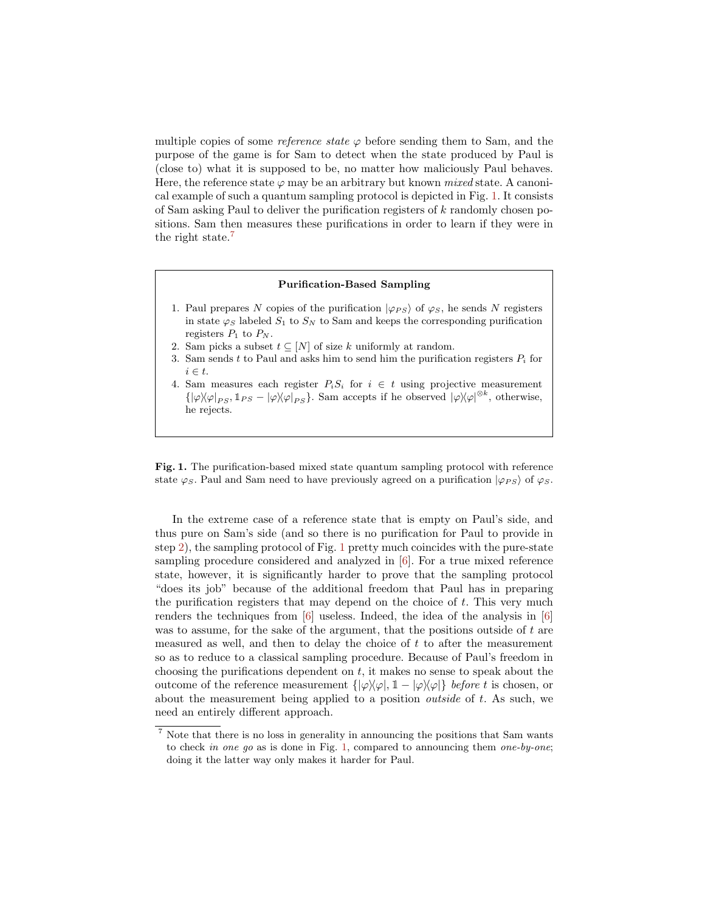multiple copies of some *reference state*  $\varphi$  before sending them to Sam, and the purpose of the game is for Sam to detect when the state produced by Paul is (close to) what it is supposed to be, no matter how maliciously Paul behaves. Here, the reference state  $\varphi$  may be an arbitrary but known *mixed* state. A canonical example of such a quantum sampling protocol is depicted in Fig. [1.](#page-9-0) It consists of Sam asking Paul to deliver the purification registers of k randomly chosen positions. Sam then measures these purifications in order to learn if they were in the right state.<sup>[7](#page-9-1)</sup>

#### Purification-Based Sampling

- 1. Paul prepares N copies of the purification  $|\varphi_{PS}\rangle$  of  $\varphi_{S}$ , he sends N registers in state  $\varphi_S$  labeled  $S_1$  to  $S_N$  to Sam and keeps the corresponding purification registers  $P_1$  to  $P_N$ .
- <span id="page-9-2"></span>2. Sam picks a subset  $t \subset [N]$  of size k uniformly at random.
- 3. Sam sends t to Paul and asks him to send him the purification registers  $P_i$  for  $i \in t$ .
- 4. Sam measures each register  $P_iS_i$  for  $i \in t$  using projective measurement  $\{ |\varphi\rangle \langle \varphi|_{PS}, \mathbb{1}_{PS} - |\varphi\rangle \langle \varphi|_{PS} \}.$  Sam accepts if he observed  $|\varphi\rangle \langle \varphi|^{\otimes k}$ , otherwise, he rejects.

<span id="page-9-0"></span>Fig. 1. The purification-based mixed state quantum sampling protocol with reference state  $\varphi_S$ . Paul and Sam need to have previously agreed on a purification  $|\varphi_{PS}\rangle$  of  $\varphi_S$ .

In the extreme case of a reference state that is empty on Paul's side, and thus pure on Sam's side (and so there is no purification for Paul to provide in step [2\)](#page-9-2), the sampling protocol of Fig. [1](#page-9-0) pretty much coincides with the pure-state sampling procedure considered and analyzed in [\[6\]](#page-26-0). For a true mixed reference state, however, it is significantly harder to prove that the sampling protocol "does its job" because of the additional freedom that Paul has in preparing the purification registers that may depend on the choice of  $t$ . This very much renders the techniques from  $\lvert 6 \rvert$  useless. Indeed, the idea of the analysis in  $\lvert 6 \rvert$ was to assume, for the sake of the argument, that the positions outside of t are measured as well, and then to delay the choice of  $t$  to after the measurement so as to reduce to a classical sampling procedure. Because of Paul's freedom in choosing the purifications dependent on  $t$ , it makes no sense to speak about the outcome of the reference measurement  $\{|\varphi\rangle\langle\varphi|, 1 - |\varphi\rangle\langle\varphi|\}$  before t is chosen, or about the measurement being applied to a position outside of t. As such, we need an entirely different approach.

<span id="page-9-1"></span><sup>7</sup> Note that there is no loss in generality in announcing the positions that Sam wants to check in one go as is done in Fig. [1,](#page-9-0) compared to announcing them one-by-one; doing it the latter way only makes it harder for Paul.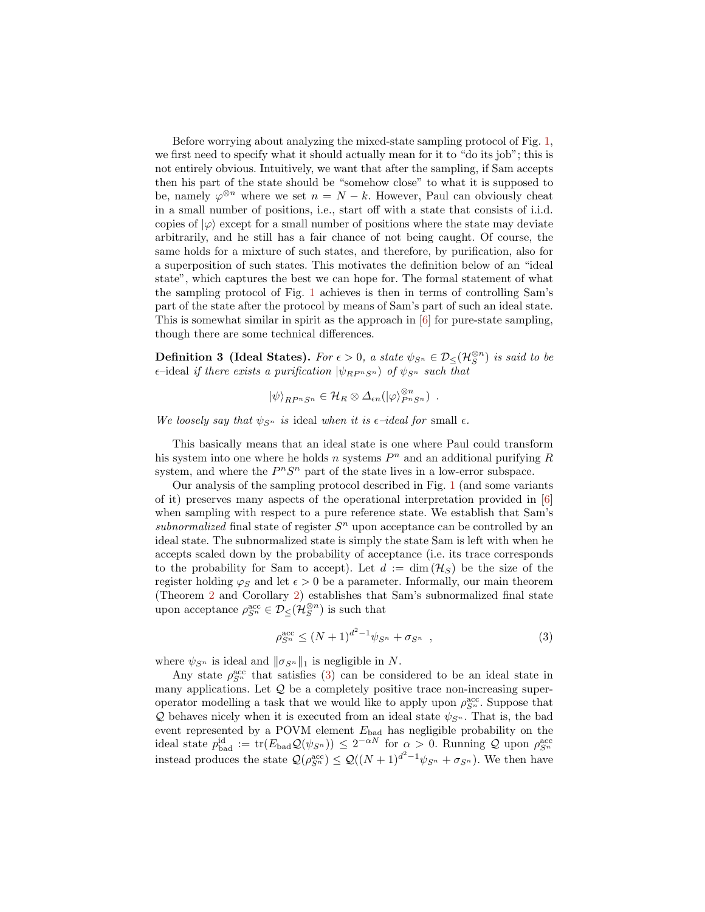Before worrying about analyzing the mixed-state sampling protocol of Fig. [1,](#page-9-0) we first need to specify what it should actually mean for it to "do its job"; this is not entirely obvious. Intuitively, we want that after the sampling, if Sam accepts then his part of the state should be "somehow close" to what it is supposed to be, namely  $\varphi^{\otimes n}$  where we set  $n = N - k$ . However, Paul can obviously cheat in a small number of positions, i.e., start off with a state that consists of i.i.d. copies of  $|\varphi\rangle$  except for a small number of positions where the state may deviate arbitrarily, and he still has a fair chance of not being caught. Of course, the same holds for a mixture of such states, and therefore, by purification, also for a superposition of such states. This motivates the definition below of an "ideal state", which captures the best we can hope for. The formal statement of what the sampling protocol of Fig. [1](#page-9-0) achieves is then in terms of controlling Sam's part of the state after the protocol by means of Sam's part of such an ideal state. This is somewhat similar in spirit as the approach in [\[6\]](#page-26-0) for pure-state sampling, though there are some technical differences.

<span id="page-10-1"></span>**Definition 3 (Ideal States).** For  $\epsilon > 0$ , a state  $\psi_{S^n} \in \mathcal{D}_{\leq}(\mathcal{H}_S^{\otimes n})$  is said to be  $\epsilon$ -ideal if there exists a purification  $|\psi_{RP^nS^n}\rangle$  of  $\psi_{S^n}$  such that

 $|\psi\rangle_{RP^nS^n} \in \mathcal{H}_R \otimes \Delta_{\epsilon n}(|\varphi\rangle_{P^nS^n}^{\otimes n})$ .

We loosely say that  $\psi_{S^n}$  is ideal when it is  $\epsilon$ -ideal for small  $\epsilon$ .

This basically means that an ideal state is one where Paul could transform his system into one where he holds n systems  $P<sup>n</sup>$  and an additional purifying R system, and where the  $P^nS^n$  part of the state lives in a low-error subspace.

Our analysis of the sampling protocol described in Fig. [1](#page-9-0) (and some variants of it) preserves many aspects of the operational interpretation provided in [\[6\]](#page-26-0) when sampling with respect to a pure reference state. We establish that Sam's subnormalized final state of register  $S<sup>n</sup>$  upon acceptance can be controlled by an ideal state. The subnormalized state is simply the state Sam is left with when he accepts scaled down by the probability of acceptance (i.e. its trace corresponds to the probability for Sam to accept). Let  $d := \dim(\mathcal{H}_S)$  be the size of the register holding  $\varphi_S$  and let  $\epsilon > 0$  be a parameter. Informally, our main theorem (Theorem [2](#page-23-0) and Corollary [2\)](#page-23-1) establishes that Sam's subnormalized final state upon acceptance  $\rho_{S_n}^{\text{acc}} \in \mathcal{D}_{\leq}(\mathcal{H}_S^{\otimes n})$  is such that

<span id="page-10-0"></span>
$$
\rho_{S^n}^{\text{acc}} \le (N+1)^{d^2-1} \psi_{S^n} + \sigma_{S^n} \quad , \tag{3}
$$

where  $\psi_{S^n}$  is ideal and  $\|\sigma_{S^n}\|_1$  is negligible in N.

Any state  $\rho_{S^n}^{\text{acc}}$  that satisfies [\(3\)](#page-10-0) can be considered to be an ideal state in many applications. Let  $Q$  be a completely positive trace non-increasing superoperator modelling a task that we would like to apply upon  $\rho_{S^n}^{\text{acc}}$ . Suppose that  $Q$  behaves nicely when it is executed from an ideal state  $\psi_{S^n}$ . That is, the bad event represented by a POVM element  $E_{bad}$  has negligible probability on the ideal state  $p_{bad}^{id} := \text{tr}(E_{bad}\mathcal{Q}(\psi_{S^n})) \leq 2^{-\alpha N}$  for  $\alpha > 0$ . Running  $\mathcal Q$  upon  $\rho_{S^n}^{acc}$ instead produces the state  $\mathcal{Q}(\rho_{S^n}^{\text{acc}}) \leq \mathcal{Q}((N+1)^{d^2-1}\psi_{S^n} + \sigma_{S^n})$ . We then have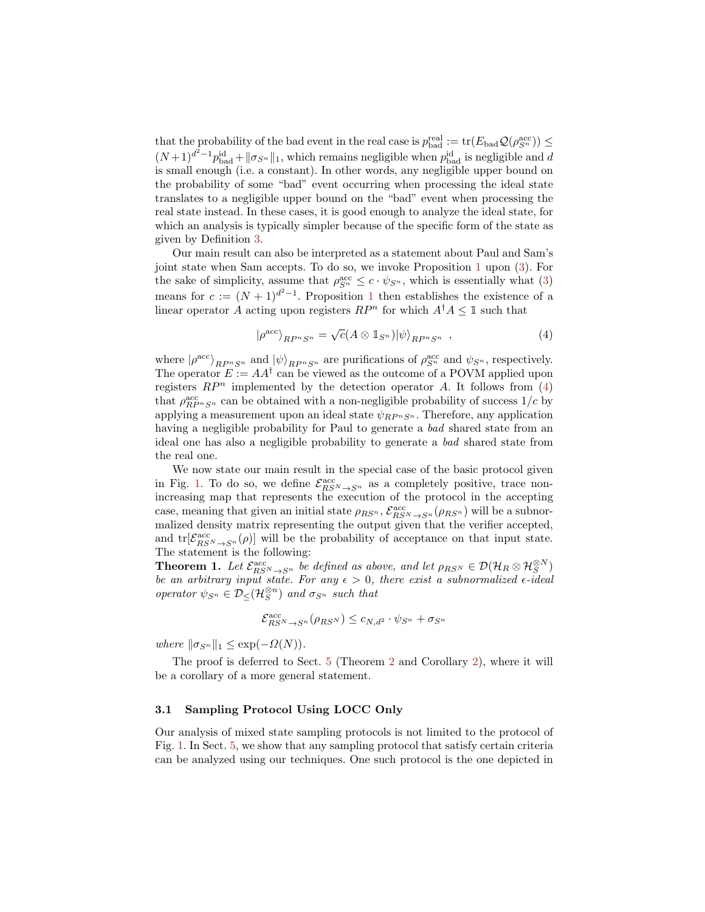that the probability of the bad event in the real case is  $p_{bad}^{real} := \text{tr}(E_{bad} \mathcal{Q}(\rho_{S^n}^{acc})) \leq$  $(N+1)^{d^2-1}p_{bad}^{id} + ||\sigma_{S^n}||_1$ , which remains negligible when  $p_{bad}^{id}$  is negligible and d is small enough (i.e. a constant). In other words, any negligible upper bound on the probability of some "bad" event occurring when processing the ideal state translates to a negligible upper bound on the "bad" event when processing the real state instead. In these cases, it is good enough to analyze the ideal state, for which an analysis is typically simpler because of the specific form of the state as given by Definition [3.](#page-10-1)

Our main result can also be interpreted as a statement about Paul and Sam's joint state when Sam accepts. To do so, we invoke Proposition [1](#page-7-2) upon [\(3\)](#page-10-0). For the sake of simplicity, assume that  $\rho_{S_n}^{\text{acc}} \leq c \cdot \psi_{S_n}$ , which is essentially what [\(3\)](#page-10-0) means for  $c := (N + 1)^{d^2 - 1}$  $c := (N + 1)^{d^2 - 1}$  $c := (N + 1)^{d^2 - 1}$ . Proposition 1 then establishes the existence of a linear operator A acting upon registers  $RP<sup>n</sup>$  for which  $A<sup>\dagger</sup>A < 1$  such that

<span id="page-11-0"></span>
$$
|\rho^{acc}\rangle_{RP^nS^n} = \sqrt{c}(A \otimes \mathbb{1}_{S^n})|\psi\rangle_{RP^nS^n} , \qquad (4)
$$

where  $|\rho^{acc}\rangle_{R P^n S^n}$  and  $|\psi\rangle_{R P^n S^n}$  are purifications of  $\rho_{S^n}^{acc}$  and  $\psi_{S^n}$ , respectively. The operator  $E := AA^{\dagger}$  can be viewed as the outcome of a POVM applied upon registers  $RP<sup>n</sup>$  implemented by the detection operator A. It follows from [\(4\)](#page-11-0) that  $\rho_{RP^nS^n}^{acc}$  can be obtained with a non-negligible probability of success  $1/c$  by applying a measurement upon an ideal state  $\psi_{RP^nS^n}$ . Therefore, any application having a negligible probability for Paul to generate a *bad* shared state from an ideal one has also a negligible probability to generate a bad shared state from the real one.

We now state our main result in the special case of the basic protocol given in Fig. [1.](#page-9-0) To do so, we define  $\mathcal{E}_{RS^N \to S^n}^{acc}$  as a completely positive, trace nonincreasing map that represents the execution of the protocol in the accepting case, meaning that given an initial state  $\rho_{RS^n}$ ,  $\mathcal{E}_{RS^n \to S^n}^{acc}(\rho_{RS^n})$  will be a subnormalized density matrix representing the output given that the verifier accepted, and  $tr[\mathcal{E}_{RS^{N}\to S^{n}}^{acc}(\rho)]$  will be the probability of acceptance on that input state. The statement is the following:

<span id="page-11-1"></span>**Theorem 1.** Let  $\mathcal{E}_{RS^N \to S^n}^{acc}$  be defined as above, and let  $\rho_{RS^N} \in \mathcal{D}(\mathcal{H}_R \otimes \mathcal{H}_S^{\otimes N})$ be an arbitrary input state. For any  $\epsilon > 0$ , there exist a subnormalized  $\epsilon$ -ideal operator  $\psi_{S^n} \in \mathcal{D}_{\leq}(\mathcal{H}_S^{\otimes n})$  and  $\sigma_{S^n}$  such that

$$
\mathcal{E}_{RS^N \to S^n}^{\text{acc}}(\rho_{RS^N}) \le c_{N,d^2} \cdot \psi_{S^n} + \sigma_{S^n}
$$

where  $\|\sigma_{S^n}\|_1 \leq \exp(-\Omega(N)).$ 

The proof is deferred to Sect. [5](#page-16-0) (Theorem [2](#page-23-0) and Corollary [2\)](#page-23-1), where it will be a corollary of a more general statement.

## <span id="page-11-2"></span>3.1 Sampling Protocol Using LOCC Only

Our analysis of mixed state sampling protocols is not limited to the protocol of Fig. [1.](#page-9-0) In Sect. [5,](#page-16-0) we show that any sampling protocol that satisfy certain criteria can be analyzed using our techniques. One such protocol is the one depicted in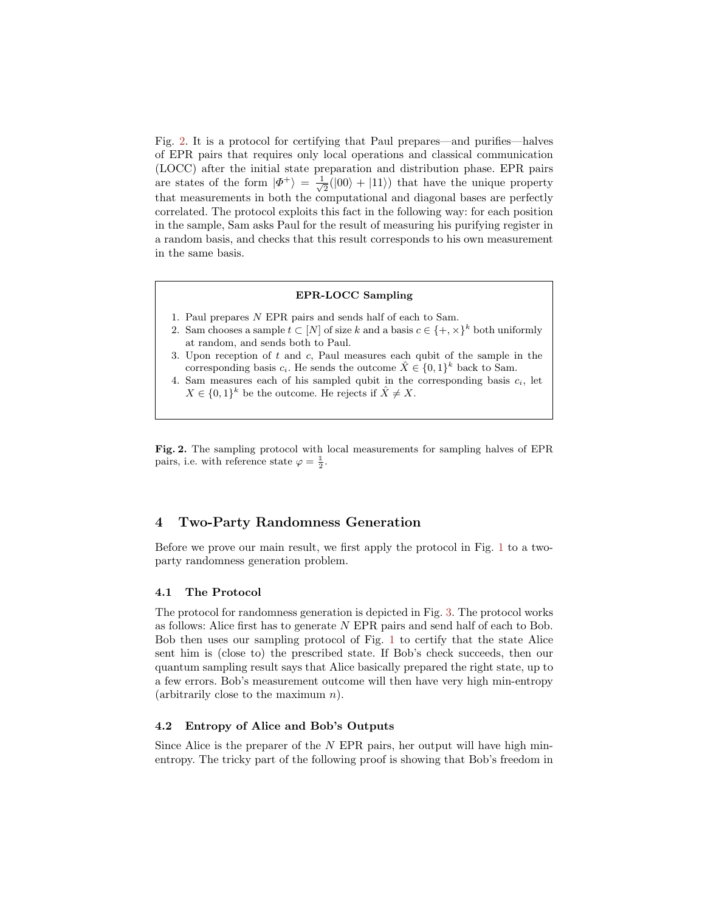Fig. [2.](#page-12-1) It is a protocol for certifying that Paul prepares—and purifies—halves of EPR pairs that requires only local operations and classical communication (LOCC) after the initial state preparation and distribution phase. EPR pairs are states of the form  $|\Phi^+\rangle = \frac{1}{\sqrt{2}}$  $\overline{z}(00\rangle + |11\rangle)$  that have the unique property that measurements in both the computational and diagonal bases are perfectly correlated. The protocol exploits this fact in the following way: for each position in the sample, Sam asks Paul for the result of measuring his purifying register in a random basis, and checks that this result corresponds to his own measurement in the same basis.

## EPR-LOCC Sampling

- 1. Paul prepares N EPR pairs and sends half of each to Sam.
- 2. Sam chooses a sample  $t \subset [N]$  of size k and a basis  $c \in \{+, \times\}^k$  both uniformly at random, and sends both to Paul.
- 3. Upon reception of  $t$  and  $c$ , Paul measures each qubit of the sample in the corresponding basis  $c_i$ . He sends the outcome  $\hat{X} \in \{0,1\}^k$  back to Sam.
- 4. Sam measures each of his sampled qubit in the corresponding basis  $c_i$ , let  $X \in \{0,1\}^k$  be the outcome. He rejects if  $\hat{X} \neq X$ .

<span id="page-12-1"></span>Fig. 2. The sampling protocol with local measurements for sampling halves of EPR pairs, i.e. with reference state  $\varphi = \frac{1}{2}$  $rac{1}{2}$ .

## <span id="page-12-0"></span>4 Two-Party Randomness Generation

Before we prove our main result, we first apply the protocol in Fig. [1](#page-9-0) to a twoparty randomness generation problem.

#### 4.1 The Protocol

The protocol for randomness generation is depicted in Fig. [3.](#page-13-0) The protocol works as follows: Alice first has to generate N EPR pairs and send half of each to Bob. Bob then uses our sampling protocol of Fig. [1](#page-9-0) to certify that the state Alice sent him is (close to) the prescribed state. If Bob's check succeeds, then our quantum sampling result says that Alice basically prepared the right state, up to a few errors. Bob's measurement outcome will then have very high min-entropy (arbitrarily close to the maximum  $n$ ).

## 4.2 Entropy of Alice and Bob's Outputs

Since Alice is the preparer of the  $N$  EPR pairs, her output will have high minentropy. The tricky part of the following proof is showing that Bob's freedom in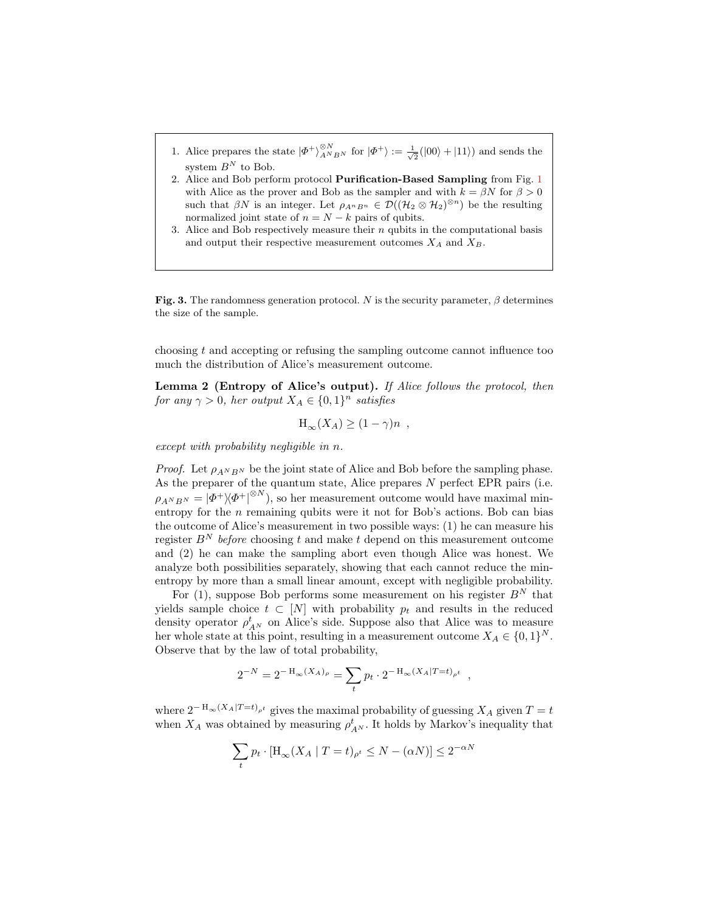- 1. Alice prepares the state  $|\Phi^+\rangle_{A^NB^N}^{3N}$  for  $|\Phi^+\rangle := \frac{1}{\sqrt{2}}(|00\rangle + |11\rangle)$  and sends the system  $B^N$  to Bob.
- <span id="page-13-1"></span>2. Alice and Bob perform protocol **Purification-Based Sampling** from Fig. [1](#page-9-0) with Alice as the prover and Bob as the sampler and with  $k = \beta N$  for  $\beta > 0$ such that  $\beta N$  is an integer. Let  $\rho_{A^nB^n} \in \mathcal{D}((\mathcal{H}_2 \otimes \mathcal{H}_2)^{\otimes n})$  be the resulting normalized joint state of  $n = N - k$  pairs of qubits.
- 3. Alice and Bob respectively measure their  $n$  qubits in the computational basis and output their respective measurement outcomes  $X_A$  and  $X_B$ .

<span id="page-13-0"></span>Fig. 3. The randomness generation protocol. N is the security parameter,  $\beta$  determines the size of the sample.

choosing  $t$  and accepting or refusing the sampling outcome cannot influence too much the distribution of Alice's measurement outcome.

Lemma 2 (Entropy of Alice's output). If Alice follows the protocol, then for any  $\gamma > 0$ , her output  $X_A \in \{0,1\}^n$  satisfies

$$
H_{\infty}(X_A) \ge (1 - \gamma)n ,
$$

except with probability negligible in n.

*Proof.* Let  $\rho_{A^NB^N}$  be the joint state of Alice and Bob before the sampling phase. As the preparer of the quantum state, Alice prepares  $N$  perfect EPR pairs (i.e.  $\rho_{A^NB^N} = |\Phi^+\rangle\langle\Phi^+|^{ \otimes N}),$  so her measurement outcome would have maximal minentropy for the  $n$  remaining qubits were it not for Bob's actions. Bob can bias the outcome of Alice's measurement in two possible ways: (1) he can measure his register  $B^N$  before choosing t and make t depend on this measurement outcome and (2) he can make the sampling abort even though Alice was honest. We analyze both possibilities separately, showing that each cannot reduce the minentropy by more than a small linear amount, except with negligible probability.

For (1), suppose Bob performs some measurement on his register  $B<sup>N</sup>$  that yields sample choice  $t \subset [N]$  with probability  $p_t$  and results in the reduced density operator  $\rho_{A^N}^t$  on Alice's side. Suppose also that Alice was to measure her whole state at this point, resulting in a measurement outcome  $X_A \in \{0,1\}^N$ . Observe that by the law of total probability,

$$
2^{-N} = 2^{-H_{\infty}(X_A)_{\rho}} = \sum_{t} p_t \cdot 2^{-H_{\infty}(X_A|T=t)_{\rho^t}},
$$

where  $2^{-H_{\infty}(X_A|T=t)_{\rho^t}}$  gives the maximal probability of guessing  $X_A$  given  $T=t$ when  $X_A$  was obtained by measuring  $\rho^t_{A^N}$ . It holds by Markov's inequality that

$$
\sum_{t} p_t \cdot [\mathbf{H}_{\infty}(X_A \mid T = t)_{\rho^t} \le N - (\alpha N)] \le 2^{-\alpha N}
$$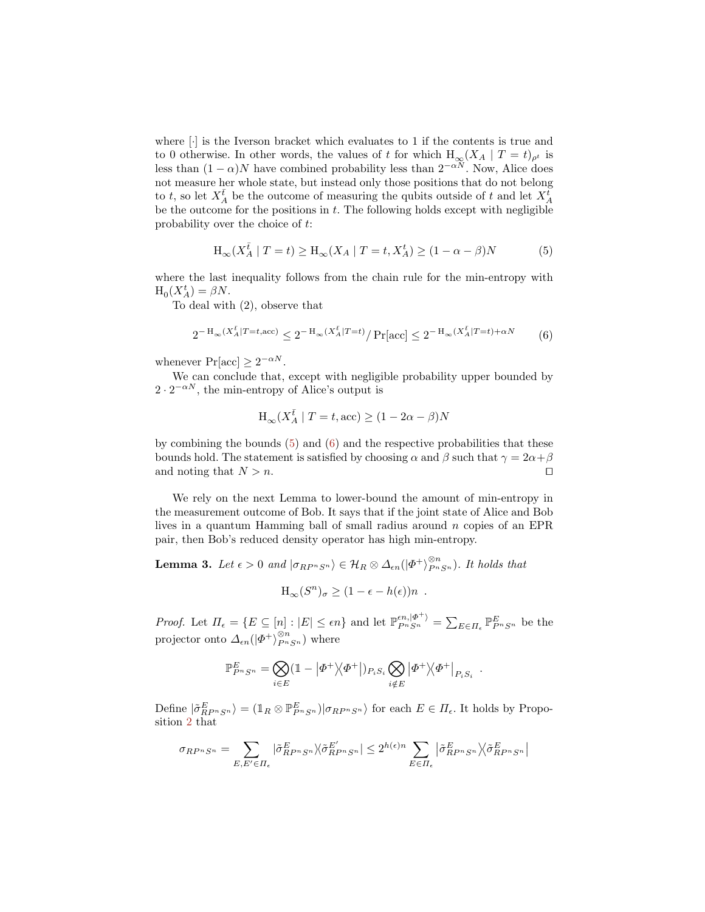where [·] is the Iverson bracket which evaluates to 1 if the contents is true and to 0 otherwise. In other words, the values of t for which  $H_{\infty}(X_A \mid T = t)_{\rho^t}$  is less than  $(1 - \alpha)N$  have combined probability less than  $2^{-\alpha N}$ . Now, Alice does not measure her whole state, but instead only those positions that do not belong to t, so let  $X^{\bar{t}}_A$  be the outcome of measuring the qubits outside of t and let  $X^{\bar{t}}_A$ be the outcome for the positions in  $t$ . The following holds except with negligible probability over the choice of t:

<span id="page-14-0"></span>
$$
\mathcal{H}_{\infty}(X_A^{\overline{t}} \mid T = t) \ge \mathcal{H}_{\infty}(X_A \mid T = t, X_A^t) \ge (1 - \alpha - \beta)N
$$
 (5)

where the last inequality follows from the chain rule for the min-entropy with  $H_0(X_A^t) = \beta N.$ 

To deal with (2), observe that

<span id="page-14-1"></span>
$$
2^{-H_{\infty}(X_A^{\bar{t}}|T=t,\text{acc})} \le 2^{-H_{\infty}(X_A^{\bar{t}}|T=t)} / \Pr[\text{acc}] \le 2^{-H_{\infty}(X_A^{\bar{t}}|T=t)+\alpha N} \tag{6}
$$

whenever  $Pr[\text{acc}] \geq 2^{-\alpha N}$ .

We can conclude that, except with negligible probability upper bounded by  $2 \cdot 2^{-\alpha N}$ , the min-entropy of Alice's output is

$$
H_{\infty}(X_A^{\bar{t}} \mid T = t, \text{acc}) \ge (1 - 2\alpha - \beta)N
$$

by combining the bounds [\(5\)](#page-14-0) and [\(6\)](#page-14-1) and the respective probabilities that these bounds hold. The statement is satisfied by choosing  $\alpha$  and  $\beta$  such that  $\gamma = 2\alpha + \beta$ and noting that  $N > n$ .

We rely on the next Lemma to lower-bound the amount of min-entropy in the measurement outcome of Bob. It says that if the joint state of Alice and Bob lives in a quantum Hamming ball of small radius around n copies of an EPR pair, then Bob's reduced density operator has high min-entropy.

**Lemma 3.** Let  $\epsilon > 0$  and  $|\sigma_{RP^nS^n}\rangle \in \mathcal{H}_R \otimes \Delta_{\epsilon n}(|\Phi^+\rangle_{P^nS^n}^{\otimes n})$ . It holds that

<span id="page-14-2"></span> $H_{\infty}(S^n)_{\sigma} \geq (1 - \epsilon - h(\epsilon))n$ .

*Proof.* Let  $\Pi_{\epsilon} = \{ E \subseteq [n] : |E| \leq \epsilon n \}$  and let  $\mathbb{P}_{P^n S^n}^{\epsilon n, |\Phi^+ \rangle} = \sum_{E \in \Pi_{\epsilon}} \mathbb{P}_{P^n S^n}^E$  be the projector onto  $\Delta_{\epsilon n}(|\varPhi^{+}\rangle_{P^{n}S^{n}}^{\otimes n})$  where

$$
\mathbb{P}^E_{P^nS^n} = \bigotimes_{i\in E}(\mathbbm{1}-\left|\varPhi^+\middle\backslash\!\!\left\langle\varPhi^+\middle\right|\right)_{P_iS_i}\bigotimes_{i\notin E}\left|\varPhi^+\middle\backslash\!\!\left\langle\varPhi^+\right|_{P_iS_i}\right|.
$$

Define  $|\tilde{\sigma}_{RP^nS^n}^E\rangle = (\mathbb{1}_R \otimes \mathbb{P}_{P^nS^n}^E)|\sigma_{RP^nS^n}\rangle$  for each  $E \in \Pi_{\epsilon}$ . It holds by Proposition [2](#page-7-3) that

$$
\sigma_{RP^nS^n} = \sum_{E, E' \in \Pi_{\epsilon}} |\tilde{\sigma}_{RP^nS^n}^E \rangle \langle \tilde{\sigma}_{RP^nS^n}^{E'}| \leq 2^{h(\epsilon)n} \sum_{E \in \Pi_{\epsilon}} |\tilde{\sigma}_{RP^nS^n}^E \rangle \langle \tilde{\sigma}_{RP^nS^n}^E|
$$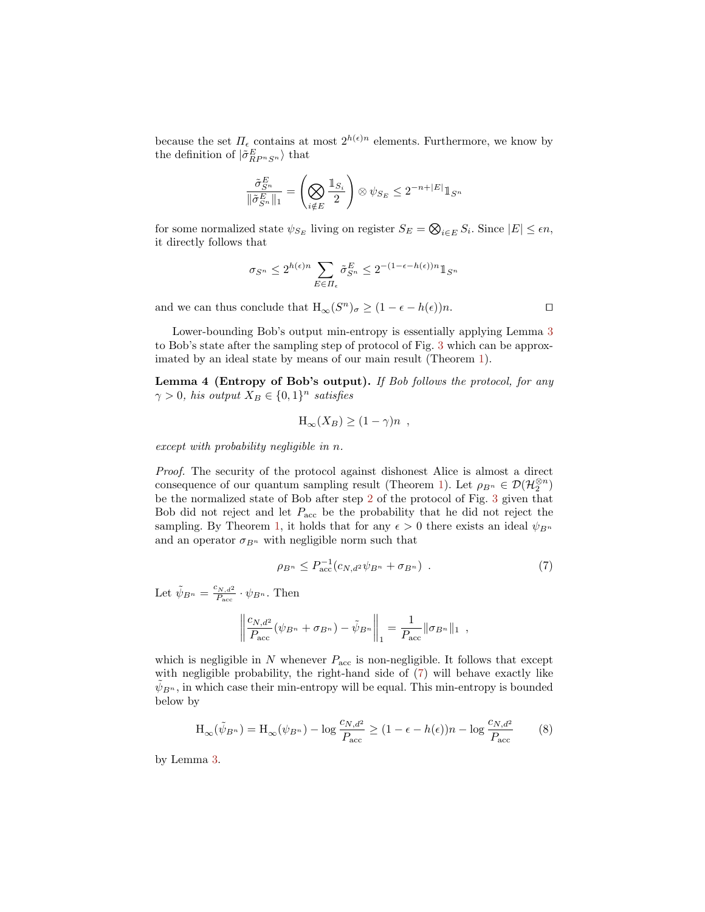because the set  $\Pi_{\epsilon}$  contains at most  $2^{h(\epsilon)n}$  elements. Furthermore, we know by the definition of  $|\tilde{\sigma}_{R P^n S^n}^E\rangle$  that

$$
\frac{\tilde{\sigma}_{S^n}^E}{\|\tilde{\sigma}_{S^n}^E\|_1} = \left(\bigotimes_{i \notin E} \frac{1\!\!1_{S_i}}{2}\right) \otimes \psi_{S_E} \leq 2^{-n+|E|} 1\!\!1_{S^n}
$$

for some normalized state  $\psi_{S_E}$  living on register  $S_E = \bigotimes_{i \in E} S_i$ . Since  $|E| \leq \epsilon n$ , it directly follows that

$$
\sigma_{S^n}\leq 2^{h(\epsilon)n}\sum_{E\in \varPi_\epsilon}\tilde{\sigma}_{S^n}^E\leq 2^{-(1-\epsilon-h(\epsilon))n}\mathbb{1}_{S^n}
$$

and we can thus conclude that  $H_{\infty}(S^n)_{\sigma} \geq (1 - \epsilon - h(\epsilon))n$ .

Lower-bounding Bob's output min-entropy is essentially applying Lemma [3](#page-14-2) to Bob's state after the sampling step of protocol of Fig. [3](#page-13-0) which can be approximated by an ideal state by means of our main result (Theorem [1\)](#page-11-1).

Lemma 4 (Entropy of Bob's output). If Bob follows the protocol, for any  $\gamma > 0$ , his output  $X_B \in \{0,1\}^n$  satisfies

$$
H_{\infty}(X_B) \ge (1 - \gamma)n ,
$$

except with probability negligible in n.

Proof. The security of the protocol against dishonest Alice is almost a direct consequence of our quantum sampling result (Theorem [1\)](#page-11-1). Let  $\rho_{B^n} \in \mathcal{D}(\mathcal{H}_2^{\otimes n})$ be the normalized state of Bob after step [2](#page-13-1) of the protocol of Fig. [3](#page-13-0) given that Bob did not reject and let  $P_{\text{acc}}$  be the probability that he did not reject the sampling. By Theorem [1,](#page-11-1) it holds that for any  $\epsilon > 0$  there exists an ideal  $\psi_{B^n}$ and an operator  $\sigma_{B^n}$  with negligible norm such that

<span id="page-15-0"></span>
$$
\rho_{B^n} \le P_{\text{acc}}^{-1}(c_{N,d^2}\psi_{B^n} + \sigma_{B^n}) \tag{7}
$$

Let  $\tilde{\psi}_{B^n} = \frac{c_{N,d^2}}{P_{\text{max}}}$  $\frac{N, d^2}{P_{\text{acc}}} \cdot \psi_{B^n}$ . Then

$$
\left\| \frac{c_{N,d^2}}{P_{\text{acc}}} (\psi_{B^n} + \sigma_{B^n}) - \tilde{\psi}_{B^n} \right\|_1 = \frac{1}{P_{\text{acc}}} \|\sigma_{B^n}\|_1,
$$

which is negligible in  $N$  whenever  $P_{\text{acc}}$  is non-negligible. It follows that except with negligible probability, the right-hand side of  $(7)$  will behave exactly like  $\psi_{B^n}$ , in which case their min-entropy will be equal. This min-entropy is bounded below by

<span id="page-15-1"></span>
$$
H_{\infty}(\tilde{\psi}_{B^n}) = H_{\infty}(\psi_{B^n}) - \log \frac{c_{N,d^2}}{P_{\text{acc}}} \ge (1 - \epsilon - h(\epsilon))n - \log \frac{c_{N,d^2}}{P_{\text{acc}}} \tag{8}
$$

by Lemma [3.](#page-14-2)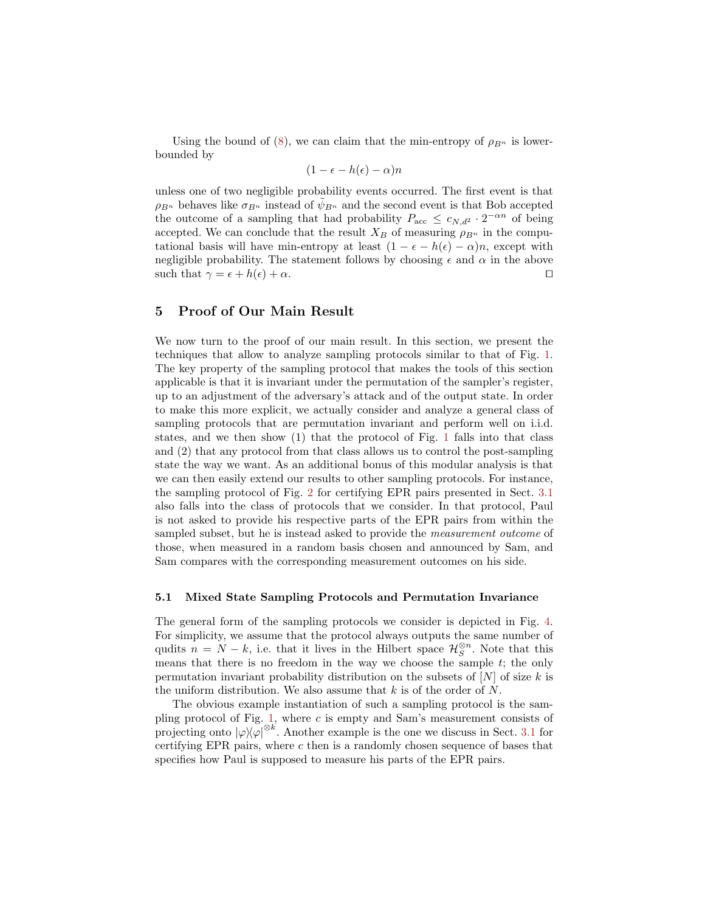Using the bound of [\(8\)](#page-15-1), we can claim that the min-entropy of  $\rho_{B_n}$  is lowerbounded by

$$
(1 - \epsilon - h(\epsilon) - \alpha)n
$$

unless one of two negligible probability events occurred. The first event is that  $\rho_{B^n}$  behaves like  $\sigma_{B^n}$  instead of  $\psi_{B^n}$  and the second event is that Bob accepted the outcome of a sampling that had probability  $P_{\text{acc}} \leq c_{N,d^2} \cdot 2^{-\alpha n}$  of being accepted. We can conclude that the result  $X_B$  of measuring  $\rho_{B_n}$  in the computational basis will have min-entropy at least  $(1 - \epsilon - h(\epsilon) - \alpha)n$ , except with negligible probability. The statement follows by choosing  $\epsilon$  and  $\alpha$  in the above such that  $\gamma = \epsilon + h(\epsilon) + \alpha$ .

# <span id="page-16-0"></span>5 Proof of Our Main Result

We now turn to the proof of our main result. In this section, we present the techniques that allow to analyze sampling protocols similar to that of Fig. [1.](#page-9-0) The key property of the sampling protocol that makes the tools of this section applicable is that it is invariant under the permutation of the sampler's register, up to an adjustment of the adversary's attack and of the output state. In order to make this more explicit, we actually consider and analyze a general class of sampling protocols that are permutation invariant and perform well on i.i.d. states, and we then show (1) that the protocol of Fig. [1](#page-9-0) falls into that class and (2) that any protocol from that class allows us to control the post-sampling state the way we want. As an additional bonus of this modular analysis is that we can then easily extend our results to other sampling protocols. For instance, the sampling protocol of Fig. [2](#page-12-1) for certifying EPR pairs presented in Sect. [3.1](#page-11-2) also falls into the class of protocols that we consider. In that protocol, Paul is not asked to provide his respective parts of the EPR pairs from within the sampled subset, but he is instead asked to provide the *measurement outcome* of those, when measured in a random basis chosen and announced by Sam, and Sam compares with the corresponding measurement outcomes on his side.

#### 5.1 Mixed State Sampling Protocols and Permutation Invariance

The general form of the sampling protocols we consider is depicted in Fig. [4.](#page-17-0) For simplicity, we assume that the protocol always outputs the same number of qudits  $n = N - k$ , i.e. that it lives in the Hilbert space  $\mathcal{H}_S^{\otimes n}$ . Note that this means that there is no freedom in the way we choose the sample  $t$ ; the only permutation invariant probability distribution on the subsets of  $[N]$  of size k is the uniform distribution. We also assume that  $k$  is of the order of  $N$ .

The obvious example instantiation of such a sampling protocol is the sampling protocol of Fig. [1,](#page-9-0) where c is empty and Sam's measurement consists of projecting onto  $|\varphi\rangle\langle\varphi|^{\otimes k}$ . Another example is the one we discuss in Sect. [3.1](#page-11-2) for certifying EPR pairs, where  $c$  then is a randomly chosen sequence of bases that specifies how Paul is supposed to measure his parts of the EPR pairs.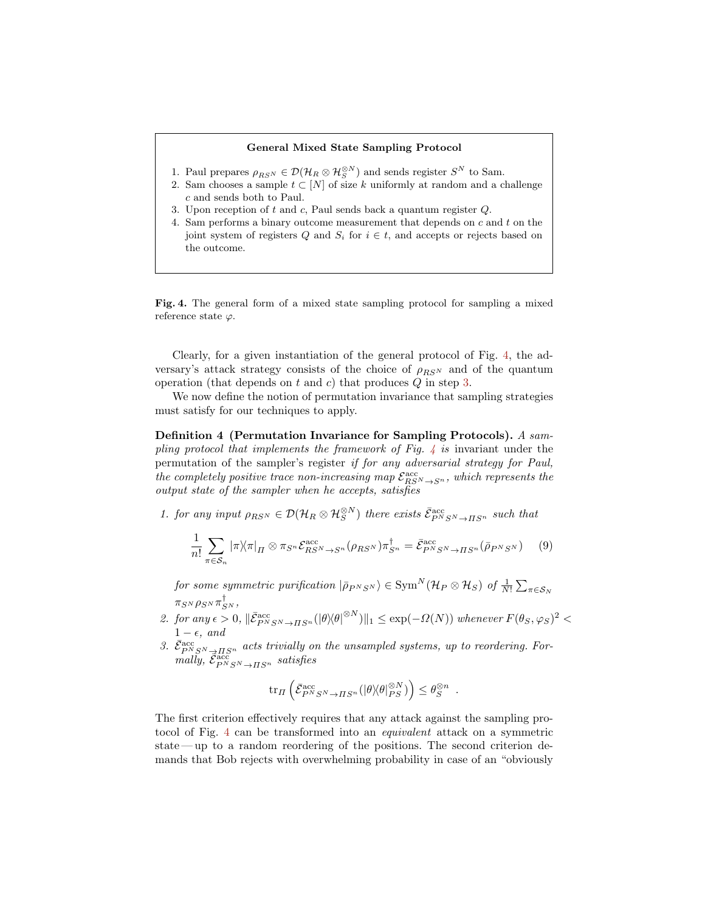#### General Mixed State Sampling Protocol

- 1. Paul prepares  $\rho_{RS^N} \in \mathcal{D}(\mathcal{H}_R \otimes \mathcal{H}_S^{\otimes N})$  and sends register  $S^N$  to Sam.
- 2. Sam chooses a sample  $t \subset [N]$  of size k uniformly at random and a challenge c and sends both to Paul.
- <span id="page-17-1"></span>3. Upon reception of  $t$  and  $c$ , Paul sends back a quantum register  $Q$ .
- 4. Sam performs a binary outcome measurement that depends on  $c$  and  $t$  on the joint system of registers Q and  $S_i$  for  $i \in t$ , and accepts or rejects based on the outcome.

<span id="page-17-0"></span>Fig. 4. The general form of a mixed state sampling protocol for sampling a mixed reference state  $\varphi$ .

Clearly, for a given instantiation of the general protocol of Fig. [4,](#page-17-0) the adversary's attack strategy consists of the choice of  $\rho_{RS}$  and of the quantum operation (that depends on t and c) that produces  $Q$  in step [3.](#page-17-1)

We now define the notion of permutation invariance that sampling strategies must satisfy for our techniques to apply.

<span id="page-17-2"></span>Definition 4 (Permutation Invariance for Sampling Protocols). A sampling protocol that implements the framework of Fig.  $\frac{1}{4}$  $\frac{1}{4}$  $\frac{1}{4}$  is invariant under the permutation of the sampler's register if for any adversarial strategy for Paul, the completely positive trace non-increasing map  $\mathcal{E}_{RS^N \to S^n}^{acc}$ , which represents the output state of the sampler when he accepts, satisfies

1. for any input  $\rho_{RS^N} \in \mathcal{D}(\mathcal{H}_R \otimes \mathcal{H}_S^{\otimes N})$  there exists  $\bar{\mathcal{E}}_{P^N S^N \to \Pi S^n}^{acc}$  such that

$$
\frac{1}{n!} \sum_{\pi \in S_n} |\pi \rangle \langle \pi|_{\Pi} \otimes \pi_{S^n} \mathcal{E}_{RS^N \to S^n}^{\text{acc}}(\rho_{RS^N}) \pi_{S^n}^{\dagger} = \bar{\mathcal{E}}_{P^N S^N \to \Pi S^n}^{\text{acc}}(\bar{\rho}_{P^N S^N}) \tag{9}
$$

for some symmetric purification  $|\bar \rho_{P^NS^N}\rangle \in \text{Sym}^N(\mathcal{H}_P\otimes \mathcal{H}_S)$  of  $\frac{1}{N!}\sum_{\pi \in \mathcal{S}_N}$ 

- $\pi_{S^N}\rho_{S^N}\pi_{S^N}^\dagger,$
- 2. for any  $\epsilon > 0$ ,  $\|\bar{\mathcal{E}}_{PN\;SN\to \varPi S^n}^{\text{acc}}(|\theta\rangle\langle\theta|^{\otimes N})\|_1 \leq \exp(-\varOmega(N))$  whenever  $F(\theta_S,\varphi_S)^2$  $1 - \epsilon$ , and
- 3.  $\bar{\mathcal{E}}_{PN\;SN\;\to HS}^{acc}$  acts trivially on the unsampled systems, up to reordering. For $mally, \overline{\mathcal{E}}_{PN, SN\rightarrow \Pi S^n}^{acc} satisfies$

$$
\mathrm{tr}_{\varPi}\left(\bar{\mathcal{E}}^{\mathrm{acc}}_{P^NS^N\rightarrow \varPi S^n}(|\theta\rangle\!\langle\theta|_{PS}^{\otimes N})\right)\leq \theta^{\otimes n}_S
$$

.

The first criterion effectively requires that any attack against the sampling protocol of Fig. [4](#page-17-0) can be transformed into an equivalent attack on a symmetric state — up to a random reordering of the positions. The second criterion demands that Bob rejects with overwhelming probability in case of an "obviously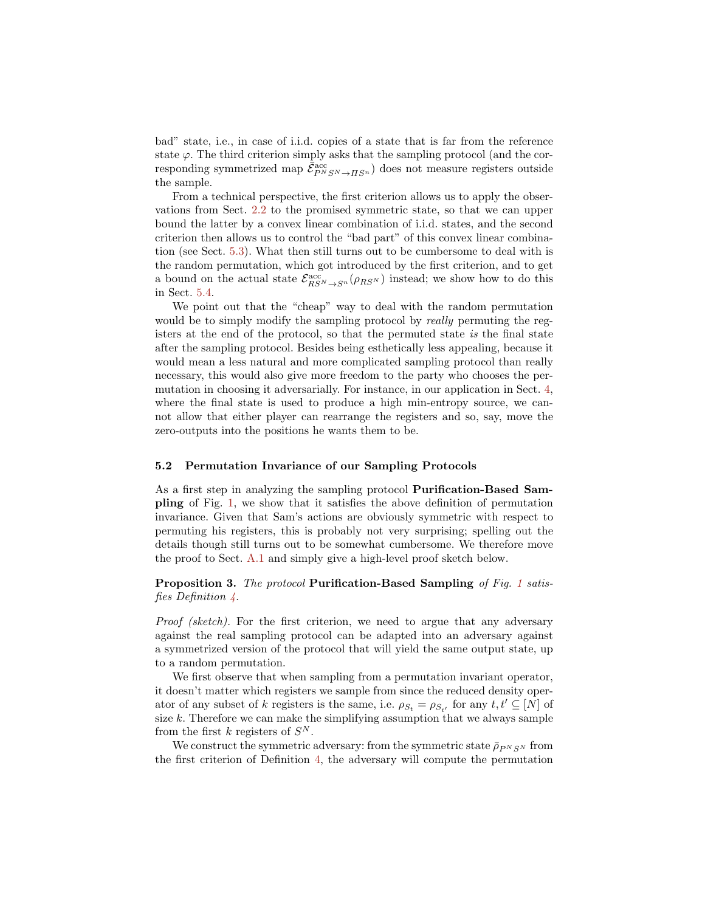bad" state, i.e., in case of i.i.d. copies of a state that is far from the reference state  $\varphi$ . The third criterion simply asks that the sampling protocol (and the corresponding symmetrized map  $\bar{\bar{\mathcal{E}}}_{PN;SN\to\Pi S^n}^{acc}$  does not measure registers outside the sample.

From a technical perspective, the first criterion allows us to apply the observations from Sect. [2.2](#page-6-1) to the promised symmetric state, so that we can upper bound the latter by a convex linear combination of i.i.d. states, and the second criterion then allows us to control the "bad part" of this convex linear combination (see Sect. [5.3\)](#page-19-0). What then still turns out to be cumbersome to deal with is the random permutation, which got introduced by the first criterion, and to get a bound on the actual state  $\mathcal{E}_{RS^N \to S^n}^{acc}(\rho_{RS^N})$  instead; we show how to do this in Sect. [5.4.](#page-22-0)

We point out that the "cheap" way to deal with the random permutation would be to simply modify the sampling protocol by *really* permuting the registers at the end of the protocol, so that the permuted state is the final state after the sampling protocol. Besides being esthetically less appealing, because it would mean a less natural and more complicated sampling protocol than really necessary, this would also give more freedom to the party who chooses the permutation in choosing it adversarially. For instance, in our application in Sect. [4,](#page-12-0) where the final state is used to produce a high min-entropy source, we cannot allow that either player can rearrange the registers and so, say, move the zero-outputs into the positions he wants them to be.

#### 5.2 Permutation Invariance of our Sampling Protocols

As a first step in analyzing the sampling protocol Purification-Based Sampling of Fig. [1,](#page-9-0) we show that it satisfies the above definition of permutation invariance. Given that Sam's actions are obviously symmetric with respect to permuting his registers, this is probably not very surprising; spelling out the details though still turns out to be somewhat cumbersome. We therefore move the proof to Sect. [A.1](#page-28-0) and simply give a high-level proof sketch below.

<span id="page-18-0"></span>Proposition 3. The protocol Purification-Based Sampling of Fig. [1](#page-9-0) satisfies Definition [4.](#page-17-2)

Proof (sketch). For the first criterion, we need to argue that any adversary against the real sampling protocol can be adapted into an adversary against a symmetrized version of the protocol that will yield the same output state, up to a random permutation.

We first observe that when sampling from a permutation invariant operator, it doesn't matter which registers we sample from since the reduced density operator of any subset of k registers is the same, i.e.  $\rho_{S_t} = \rho_{S_{t'}}$  for any  $t, t' \subseteq [N]$  of size  $k$ . Therefore we can make the simplifying assumption that we always sample from the first k registers of  $S^N$ .

We construct the symmetric adversary: from the symmetric state  $\bar{\rho}_{P^N S^N}$  from the first criterion of Definition [4,](#page-17-2) the adversary will compute the permutation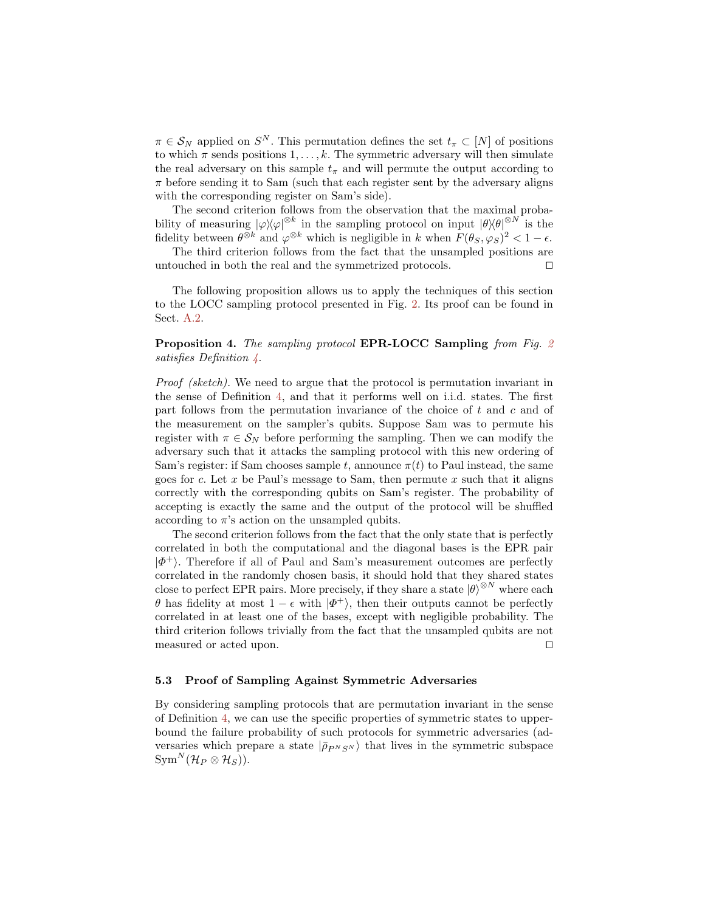$\pi \in \mathcal{S}_N$  applied on  $S^N$ . This permutation defines the set  $t_{\pi} \subset [N]$  of positions to which  $\pi$  sends positions  $1, \ldots, k$ . The symmetric adversary will then simulate the real adversary on this sample  $t_{\pi}$  and will permute the output according to  $\pi$  before sending it to Sam (such that each register sent by the adversary aligns with the corresponding register on Sam's side).

The second criterion follows from the observation that the maximal probability of measuring  $|\varphi\rangle\langle\varphi|^{\otimes k}$  in the sampling protocol on input  $|\theta\rangle\langle\theta|^{\otimes N}$  is the fidelity between  $\theta^{\otimes k}$  and  $\varphi^{\otimes k}$  which is negligible in k when  $F(\theta_S, \varphi_S)^2 < 1 - \epsilon$ .

The third criterion follows from the fact that the unsampled positions are untouched in both the real and the symmetrized protocols.  $\Box$ 

The following proposition allows us to apply the techniques of this section to the LOCC sampling protocol presented in Fig. [2.](#page-12-1) Its proof can be found in Sect. [A.2.](#page-30-0)

<span id="page-19-1"></span>Proposition 4. The sampling protocol EPR-LOCC Sampling from Fig. [2](#page-12-1) satisfies Definition [4.](#page-17-2)

Proof (sketch). We need to argue that the protocol is permutation invariant in the sense of Definition [4,](#page-17-2) and that it performs well on i.i.d. states. The first part follows from the permutation invariance of the choice of  $t$  and  $c$  and of the measurement on the sampler's qubits. Suppose Sam was to permute his register with  $\pi \in \mathcal{S}_N$  before performing the sampling. Then we can modify the adversary such that it attacks the sampling protocol with this new ordering of Sam's register: if Sam chooses sample t, announce  $\pi(t)$  to Paul instead, the same goes for c. Let x be Paul's message to Sam, then permute x such that it aligns correctly with the corresponding qubits on Sam's register. The probability of accepting is exactly the same and the output of the protocol will be shuffled according to  $\pi$ 's action on the unsampled qubits.

The second criterion follows from the fact that the only state that is perfectly correlated in both the computational and the diagonal bases is the EPR pair  $|\Phi^+\rangle$ . Therefore if all of Paul and Sam's measurement outcomes are perfectly correlated in the randomly chosen basis, it should hold that they shared states close to perfect EPR pairs. More precisely, if they share a state  $|\theta\rangle^{\otimes N}$  where each  $\theta$  has fidelity at most  $1 - \epsilon$  with  $|\Phi^+\rangle$ , then their outputs cannot be perfectly correlated in at least one of the bases, except with negligible probability. The third criterion follows trivially from the fact that the unsampled qubits are not measured or acted upon.  $\hfill \square$ 

#### <span id="page-19-0"></span>5.3 Proof of Sampling Against Symmetric Adversaries

By considering sampling protocols that are permutation invariant in the sense of Definition [4,](#page-17-2) we can use the specific properties of symmetric states to upperbound the failure probability of such protocols for symmetric adversaries (adversaries which prepare a state  $|\bar{\rho}_{P^{N} S^{N}}\rangle$  that lives in the symmetric subspace  $\text{Sym}^N(\mathcal{H}_P\otimes\mathcal{H}_S)).$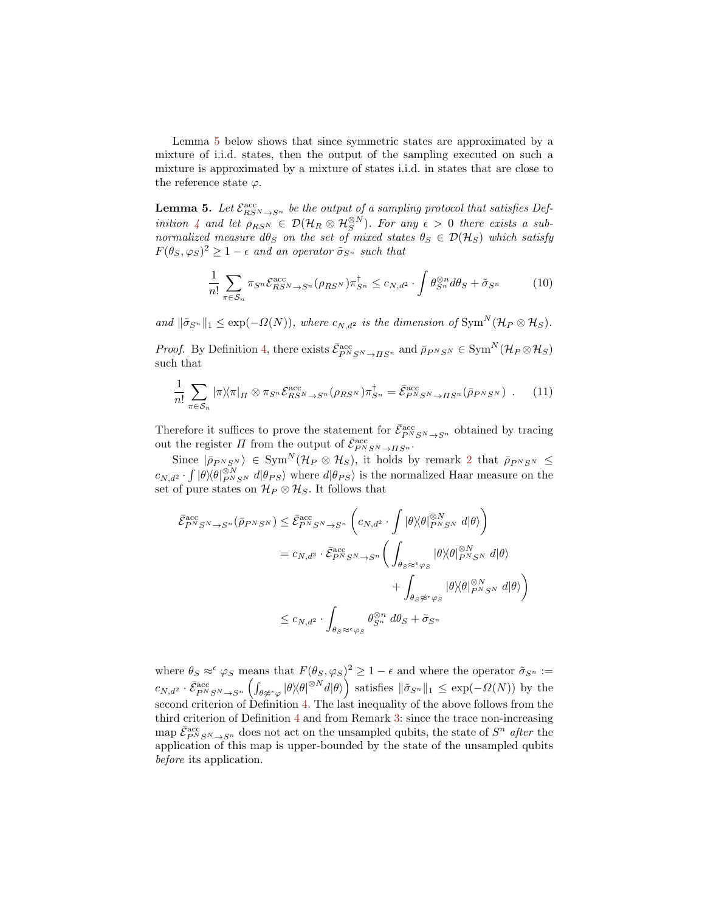Lemma [5](#page-20-0) below shows that since symmetric states are approximated by a mixture of i.i.d. states, then the output of the sampling executed on such a mixture is approximated by a mixture of states i.i.d. in states that are close to the reference state  $\varphi$ .

<span id="page-20-0"></span>**Lemma 5.** Let  $\mathcal{E}_{RS^N \to S^n}^{acc}$  be the output of a sampling protocol that satisfies Def-inition [4](#page-17-2) and let  $\rho_{RS^N} \in \mathcal{D}(\mathcal{H}_R \otimes \mathcal{H}_S^{\otimes N})$ . For any  $\epsilon > 0$  there exists a subnormalized measure  $d\theta_S$  on the set of mixed states  $\theta_S \in \mathcal{D}(\mathcal{H}_S)$  which satisfy  $F(\theta_S, \varphi_S)^2 \geq 1 - \epsilon$  and an operator  $\tilde{\sigma}_{S^n}$  such that

$$
\frac{1}{n!} \sum_{\pi \in S_n} \pi_{S^n} \mathcal{E}_{RS^N \to S^n}^{\text{acc}}(\rho_{RS^N}) \pi_{S^n}^{\dagger} \le c_{N,d^2} \cdot \int \theta_{S^n}^{\otimes n} d\theta_S + \tilde{\sigma}_{S^n}
$$
(10)

and  $\|\tilde{\sigma}_{S^n}\|_1 \leq \exp(-\Omega(N))$ , where  $c_{N,d^2}$  is the dimension of  $\text{Sym}^N(\mathcal{H}_P \otimes \mathcal{H}_S)$ .

*Proof.* By Definition [4,](#page-17-2) there exists  $\bar{\mathcal{E}}_{P^N S^N \to \Pi S^n}^{acc}$  and  $\bar{\rho}_{P^N S^N} \in \text{Sym}^N(\mathcal{H}_P \otimes \mathcal{H}_S)$ such that

$$
\frac{1}{n!} \sum_{\pi \in S_n} |\pi \rangle \langle \pi|_{\Pi} \otimes \pi_{S^n} \mathcal{E}_{RS^N \to S^n}^{\text{acc}}(\rho_{RS^N}) \pi_{S^n}^{\dagger} = \bar{\mathcal{E}}_{P^N S^N \to \Pi S^n}^{\text{acc}}(\bar{\rho}_{P^N S^N}) \ . \tag{11}
$$

Therefore it suffices to prove the statement for  $\bar{\mathcal{E}}_{P^N S^N \to S^n}^{acc}$  obtained by tracing out the register  $\Pi$  from the output of  $\bar{\mathcal{E}}_{PN;SN\rightarrow \Pi S^n}^{acc}$ .

Since  $|\bar{\rho}_{P^N S^N}\rangle \in \text{Sym}^N(\mathcal{H}_P \otimes \mathcal{H}_S)$ , it holds by remark [2](#page-6-2) that  $\bar{\rho}_{P^N S^N} \leq$  $c_{N,d^2} \cdot \int |\theta\rangle\langle\theta|^{ \otimes N}_{P^N S^N} d|\theta_{PS}\rangle$  where  $d|\theta_{PS}\rangle$  is the normalized Haar measure on the set of pure states on  $\mathcal{H}_P \otimes \mathcal{H}_S$ . It follows that

$$
\begin{split} \bar{\mathcal{E}}_{PN\,SN\rightarrow S^{n}}^{\mathrm{acc}}(\bar{\rho}_{PN\,S^{N}}) & \leq \bar{\mathcal{E}}_{PN\,S^{N}\rightarrow S^{n}}^{\mathrm{acc}}\left(c_{N,d^{2}}\cdot\int|\theta\rangle\langle\theta|_{PN\,S^{N}}^{\otimes N}\,d|\theta\rangle\right) \\ & = c_{N,d^{2}}\cdot\bar{\mathcal{E}}_{PN\,S^{N}\rightarrow S^{n}}^{\mathrm{acc}}\Big(\int_{\theta_{S}\approx^{\epsilon}\varphi_{S}}|\theta\rangle\langle\theta|_{PN\,S^{N}}^{\otimes N}\,d|\theta\rangle \\ & \quad + \int_{\theta_{S}\not\approx^{\epsilon}\varphi_{S}}|\theta\rangle\langle\theta|_{PN\,S^{N}}^{\otimes N}\,d|\theta\rangle\Big) \\ & \leq c_{N,d^{2}}\cdot\int_{\theta_{S}\approx^{\epsilon}\varphi_{S}}\theta_{S^{n}}^{\otimes n}\,d\theta_{S} + \tilde{\sigma}_{S^{n}} \end{split}
$$

where  $\theta_S \approx^{\epsilon} \varphi_S$  means that  $F(\theta_S, \varphi_S)^2 \geq 1 - \epsilon$  and where the operator  $\tilde{\sigma}_{S^n} :=$  $c_{N,d^2} \cdot \bar{\mathcal{E}}_{P^N S^N \to S^n}^{\text{acc}} \left( \int_{\theta \not\approx^{\epsilon} \varphi} |\theta\rangle\langle\theta|^{\otimes N} d|\theta\rangle \right)$  satisfies  $\|\tilde{\sigma}_{S^n}\|_1 \leq \exp(-\Omega(N))$  by the second criterion of Definition [4.](#page-17-2) The last inequality of the above follows from the third criterion of Definition [4](#page-17-2) and from Remark [3:](#page-7-1) since the trace non-increasing map  $\bar{\mathcal{E}}_{PN,SN\rightarrow S^n}^{acc}$  does not act on the unsampled qubits, the state of  $S^n$  after the application of this map is upper-bounded by the state of the unsampled qubits before its application.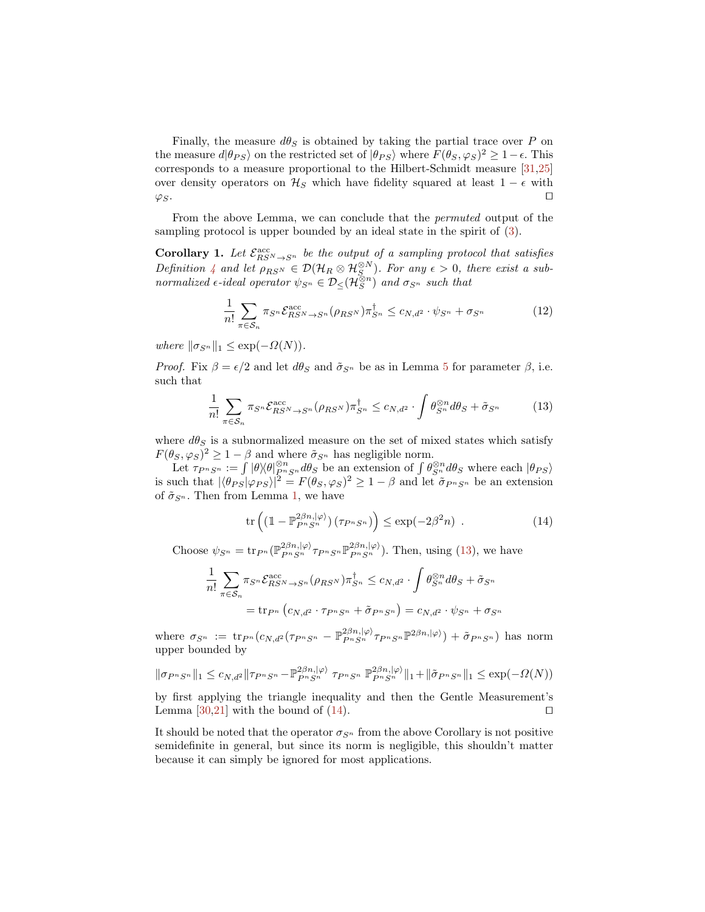Finally, the measure  $d\theta_S$  is obtained by taking the partial trace over P on the measure  $d|\theta_{PS}\rangle$  on the restricted set of  $|\theta_{PS}\rangle$  where  $F(\theta_S, \varphi_S)^2 \geq 1-\epsilon$ . This corresponds to a measure proportional to the Hilbert-Schmidt measure [\[31,](#page-28-1)[25\]](#page-27-17) over density operators on  $\mathcal{H}_S$  which have fidelity squared at least  $1 - \epsilon$  with  $\varphi_S$ .

From the above Lemma, we can conclude that the permuted output of the sampling protocol is upper bounded by an ideal state in the spirit of  $(3)$ .

<span id="page-21-3"></span>**Corollary 1.** Let  $\mathcal{E}_{RS^N \to S^n}^{acc}$  be the output of a sampling protocol that satisfies Definition [4](#page-17-2) and let  $\rho_{RS^N} \in \mathcal{D}(\mathcal{H}_R \otimes \mathcal{H}_S^{\otimes N})$ . For any  $\epsilon > 0$ , there exist a subnormalized  $\epsilon$ -ideal operator  $\psi_{S^n} \in \mathcal{D}_{\leq}(\mathcal{H}_S^{\otimes n})$  and  $\sigma_{S^n}$  such that

<span id="page-21-2"></span>
$$
\frac{1}{n!} \sum_{\pi \in S_n} \pi_{S^n} \mathcal{E}_{RS^N \to S^n}^{\text{acc}}(\rho_{RS^N}) \pi_{S^n}^{\dagger} \le c_{N,d^2} \cdot \psi_{S^n} + \sigma_{S^n}
$$
(12)

where  $\|\sigma_{S^n}\|_1 \leq \exp(-\Omega(N)).$ 

*Proof.* Fix  $\beta = \epsilon/2$  and let  $d\theta_S$  and  $\tilde{\sigma}_{S^n}$  be as in Lemma [5](#page-20-0) for parameter  $\beta$ , i.e. such that

<span id="page-21-0"></span>
$$
\frac{1}{n!} \sum_{\pi \in S_n} \pi_{S^n} \mathcal{E}_{RS^N \to S^n}^{\text{acc}}(\rho_{RS^N}) \pi_{S^n}^{\dagger} \le c_{N,d^2} \cdot \int \theta_{S^n}^{\otimes n} d\theta_S + \tilde{\sigma}_{S^n}
$$
(13)

where  $d\theta_S$  is a subnormalized measure on the set of mixed states which satisfy  $F(\theta_S, \varphi_S)^2 \geq 1 - \beta$  and where  $\tilde{\sigma}_{S^n}$  has negligible norm.

Let  $\tau_{P^n S^n} := \int |\theta\rangle\langle \theta|_{P^n S^n}^{\otimes n} d\theta_S$  be an extension of  $\int \theta_{S^n}^{\otimes n} d\theta_S$  where each  $|\theta_{PS}\rangle$ is such that  $|\langle \theta_{PS} | \varphi_{PS} \rangle|^2 = F(\theta_S, \varphi_S)^2 \geq 1 - \beta$  and let  $\tilde{\sigma}_{P^n S^n}$  be an extension of  $\tilde{\sigma}_{S^n}$ . Then from Lemma [1,](#page-8-1) we have

<span id="page-21-1"></span>
$$
\operatorname{tr}\left((\mathbb{1}-\mathbb{P}_{P^{n}S^{n}}^{2\beta n,|\varphi\rangle})(\tau_{P^{n}S^{n}})\right) \leq \exp(-2\beta^{2}n) . \tag{14}
$$

Choose  $\psi_{S^n} = \text{tr}_{P^n}(\mathbb{P}_{P^nS^n}^{2\beta n, |\varphi\rangle} \tau_{P^nS^n}\mathbb{P}_{P^nS^n}^{2\beta n, |\varphi\rangle}).$  Then, using [\(13\)](#page-21-0), we have

$$
\frac{1}{n!} \sum_{\pi \in S_n} \pi_{S^n} \mathcal{E}_{RS^N \to S^n}^{\text{acc}}(\rho_{RS^N}) \pi_{S^n}^{\dagger} \le c_{N,d^2} \cdot \int \theta_{S^n}^{\otimes n} d\theta_S + \tilde{\sigma}_{S^n}
$$

$$
= \text{tr}_{P^n} \left( c_{N,d^2} \cdot \tau_{P^n S^n} + \tilde{\sigma}_{P^n S^n} \right) = c_{N,d^2} \cdot \psi_{S^n} + \sigma_{S^n}
$$

where  $\sigma_{S^n} := \text{tr}_{P^n}(c_{N,d^2}(\tau_{P^nS^n} - \mathbb{P}^{2\beta n,|\varphi\rangle}_{P^nS^n}\tau_{P^nS^n}\mathbb{P}^{2\beta n,|\varphi\rangle}) + \tilde{\sigma}_{P^nS^n})$  has norm upper bounded by

$$
\|\sigma_{P^n S^n}\|_1 \leq c_{N,d^2} \|\tau_{P^n S^n} - \mathbb{P}_{P^n S^n}^{2\beta n,|\varphi\rangle} \tau_{P^n S^n} \ \mathbb{P}_{P^n S^n}^{2\beta n,|\varphi\rangle} \|_1 + \|\tilde{\sigma}_{P^n S^n}\|_1 \leq \exp(-\Omega(N))
$$

by first applying the triangle inequality and then the Gentle Measurement's Lemma [\[30,](#page-28-2)[21\]](#page-27-19) with the bound of [\(14\)](#page-21-1).  $\Box$ 

It should be noted that the operator  $\sigma_{S^n}$  from the above Corollary is not positive semidefinite in general, but since its norm is negligible, this shouldn't matter because it can simply be ignored for most applications.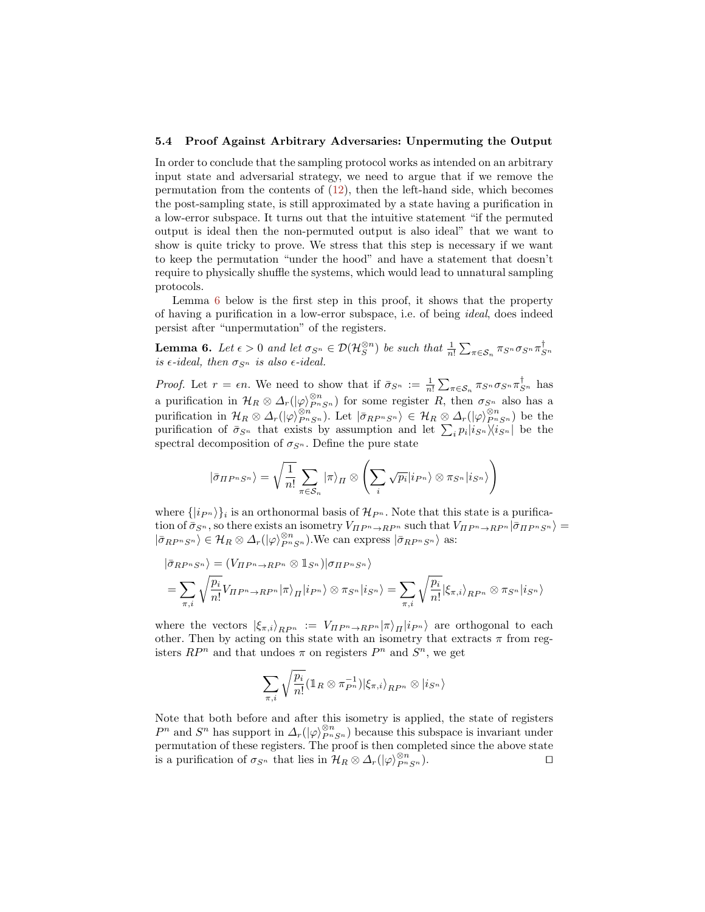#### <span id="page-22-0"></span>5.4 Proof Against Arbitrary Adversaries: Unpermuting the Output

In order to conclude that the sampling protocol works as intended on an arbitrary input state and adversarial strategy, we need to argue that if we remove the permutation from the contents of  $(12)$ , then the left-hand side, which becomes the post-sampling state, is still approximated by a state having a purification in a low-error subspace. It turns out that the intuitive statement "if the permuted output is ideal then the non-permuted output is also ideal" that we want to show is quite tricky to prove. We stress that this step is necessary if we want to keep the permutation "under the hood" and have a statement that doesn't require to physically shuffle the systems, which would lead to unnatural sampling protocols.

Lemma [6](#page-22-1) below is the first step in this proof, it shows that the property of having a purification in a low-error subspace, i.e. of being ideal, does indeed persist after "unpermutation" of the registers.

**Lemma 6.** Let  $\epsilon > 0$  and let  $\sigma_{S^n} \in \mathcal{D}(\mathcal{H}_{S}^{\otimes n})$  be such that  $\frac{1}{n!} \sum_{\pi \in S_n} \pi_{S^n} \sigma_{S^n} \pi_{S^n}^{\dagger}$ is  $\epsilon$ -ideal, then  $\sigma_{S^n}$  is also  $\epsilon$ -ideal.

*Proof.* Let  $r = \epsilon n$ . We need to show that if  $\bar{\sigma}_{S^n} := \frac{1}{n!} \sum_{\pi \in S_n} \pi_{S^n} \sigma_{S^n} \pi_{S^n}^{\dagger}$  has a purification in  $\mathcal{H}_R \otimes \Delta_r(\ket{\varphi}_{P^nS^n})$  for some register R, then  $\sigma_{S^n}$  also has a purification in  $\mathcal{H}_R \otimes \Delta_r(\ket{\varphi}_{P^nS^n})$ . Let  $\ket{\bar{\sigma}_{RP^nS^n}} \in \mathcal{H}_R \otimes \Delta_r(\ket{\varphi}_{P^nS^n})$  be the purification of  $\bar{\sigma}_{S^n}$  that exists by assumption and let  $\sum_i p_i |i_{S^n}\rangle \langle i_{S^n}|$  be the spectral decomposition of  $\sigma_{S^n}$ . Define the pure state

<span id="page-22-1"></span>
$$
|\bar{\sigma}_{\Pi P^n S^n}\rangle = \sqrt{\frac{1}{n!}} \sum_{\pi \in S_n} |\pi\rangle_{\Pi} \otimes \left(\sum_i \sqrt{p_i} |i_{P^n}\rangle \otimes \pi_{S^n} |i_{S^n}\rangle\right)
$$

where  $\{|i_{P^n}\rangle\}_i$  is an orthonormal basis of  $\mathcal{H}_{P^n}$ . Note that this state is a purification of  $\bar{\sigma}_{S^n}$ , so there exists an isometry  $V_{\Pi P^n \to R P^n}$  such that  $V_{\Pi P^n \to R P^n} |\bar{\sigma}_{\Pi P^n S^n}\rangle =$  $|\bar{\sigma}_{RP^nS^n}\rangle \in \mathcal{H}_R \otimes \Delta_r(\langle \varphi \rangle_{P^nS^n}^{\otimes n})$ . We can express  $|\bar{\sigma}_{RP^nS^n}\rangle$  as:

$$
|\bar{\sigma}_{RP^n S^n}\rangle = (V_{HP^n \to RP^n} \otimes 1_{S^n})|\sigma_{HP^n S^n}\rangle
$$
  
= 
$$
\sum_{\pi,i} \sqrt{\frac{p_i}{n!}} V_{HP^n \to RP^n} |\pi\rangle_H |i_{P^n}\rangle \otimes \pi_{S^n} |i_{S^n}\rangle = \sum_{\pi,i} \sqrt{\frac{p_i}{n!}} |\xi_{\pi,i}\rangle_{RP^n} \otimes \pi_{S^n} |i_{S^n}\rangle
$$

where the vectors  $|\xi_{\pi,i}\rangle_{RP^n} := V_{HP^n \to RP^n} |\pi\rangle_H |i_{P^n}\rangle$  are orthogonal to each other. Then by acting on this state with an isometry that extracts  $\pi$  from registers  $RP^n$  and that undoes  $\pi$  on registers  $P^n$  and  $S^n$ , we get

$$
\sum_{\pi,i}\sqrt{\frac{p_i}{n!}}(\mathbb{1}_R\otimes \pi_{P^n}^{-1})|\xi_{\pi,i}\rangle_{RP^n}\otimes |i_{S^n}\rangle
$$

Note that both before and after this isometry is applied, the state of registers  $P^n$  and  $S^n$  has support in  $\Delta_r(\ket{\varphi}_{P^nS^n}^{\otimes n})$  because this subspace is invariant under permutation of these registers. The proof is then completed since the above state is a purification of  $\sigma_{S^n}$  that lies in  $\mathcal{H}_R \otimes \Delta_r(\ket{\varphi}_{P^nS^n}^{\otimes n})$ .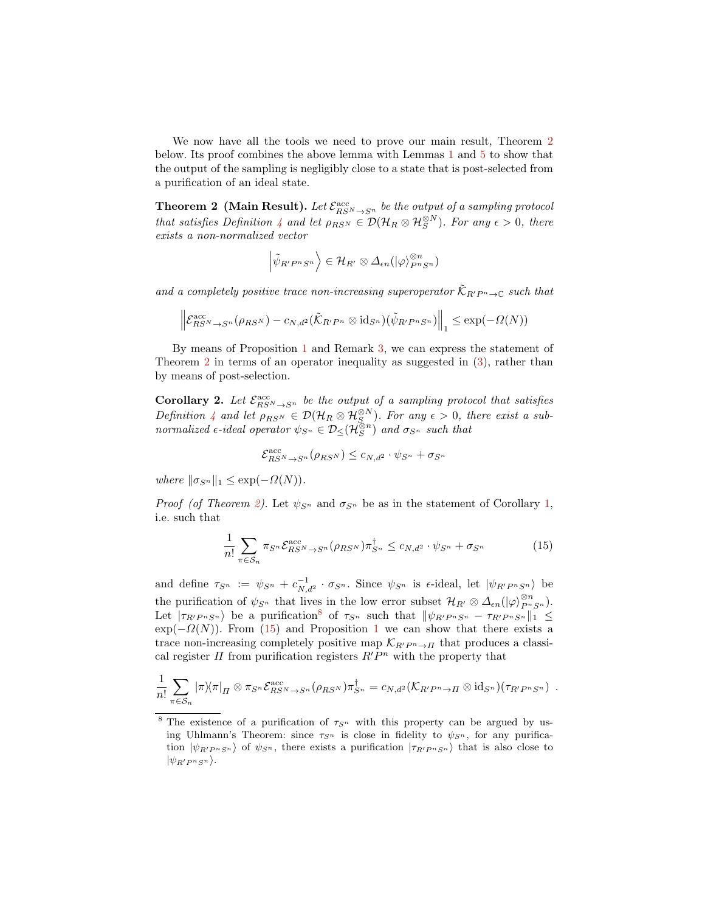We now have all the tools we need to prove our main result, Theorem [2](#page-23-0) below. Its proof combines the above lemma with Lemmas [1](#page-8-1) and [5](#page-20-0) to show that the output of the sampling is negligibly close to a state that is post-selected from a purification of an ideal state.

<span id="page-23-0"></span>**Theorem 2** (Main Result). Let  $\mathcal{E}_{RS^N \to S^n}^{acc}$  be the output of a sampling protocol that satisfies Definition [4](#page-17-2) and let  $\rho_{RS^N} \in \mathcal{D}(\mathcal{H}_R \otimes \mathcal{H}_S^{\otimes N})$ . For any  $\epsilon > 0$ , there exists a non-normalized vector

$$
\left| \tilde{\psi}_{R^{\prime}P^{n}S^{n}}\right\rangle \in\mathcal{H}_{R^{\prime}}\otimes\varDelta_{\epsilon n}(\left| \varphi\right\rangle _{P^{n}S^{n}}^{\otimes n})
$$

and a completely positive trace non-increasing superoperator  $\tilde{\mathcal{K}}_{R^{\prime}P^{n}\to\mathbb{C}}$  such that

$$
\left\| \mathcal{E}_{RS^N \to S^n}^{\mathrm{acc}}(\rho_{RS^N}) - c_{N,d^2}(\tilde{\mathcal{K}}_{R^{\prime}P^n} \otimes \mathrm{id}_{S^n})(\tilde{\psi}_{R^{\prime}P^n S^n}) \right\|_1 \leq \exp(-\Omega(N))
$$

By means of Proposition [1](#page-7-2) and Remark [3,](#page-7-1) we can express the statement of Theorem [2](#page-23-0) in terms of an operator inequality as suggested in [\(3\)](#page-10-0), rather than by means of post-selection.

<span id="page-23-1"></span>**Corollary 2.** Let  $\mathcal{E}_{RS^N \to S^n}^{acc}$  be the output of a sampling protocol that satisfies Definition [4](#page-17-2) and let  $\rho_{RS^N} \in \mathcal{D}(\mathcal{H}_R \otimes \mathcal{H}_S^{\otimes N})$ . For any  $\epsilon > 0$ , there exist a subnormalized  $\epsilon$ -ideal operator  $\psi_{S^n} \in \mathcal{D}_{\leq}(\mathcal{H}_S^{\otimes n})$  and  $\sigma_{S^n}$  such that

$$
\mathcal{E}_{RS^N \to S^n}^{\text{acc}}(\rho_{RS^N}) \le c_{N,d^2} \cdot \psi_{S^n} + \sigma_{S^n}
$$

where  $\|\sigma_{S^n}\|_1 \leq \exp(-\Omega(N)).$ 

*Proof (of Theorem [2\)](#page-23-0).* Let  $\psi_{S^n}$  and  $\sigma_{S^n}$  be as in the statement of Corollary [1,](#page-21-3) i.e. such that

<span id="page-23-3"></span>
$$
\frac{1}{n!} \sum_{\pi \in S_n} \pi_{S^n} \mathcal{E}_{RS^N \to S^n}^{\text{acc}}(\rho_{RS^N}) \pi_{S^n}^{\dagger} \le c_{N,d^2} \cdot \psi_{S^n} + \sigma_{S^n}
$$
(15)

and define  $\tau_{S^n} := \psi_{S^n} + c_{N,d^2}^{-1} \cdot \sigma_{S^n}$ . Since  $\psi_{S^n}$  is  $\epsilon$ -ideal, let  $|\psi_{R'P^nS^n}\rangle$  be the purification of  $\psi_{S^n}$  that lives in the low error subset  $\mathcal{H}_{R'} \otimes \Delta_{\epsilon n}(|\varphi\rangle_{P^nS^n}^{\otimes n})$ . Let  $|\tau_{R'P^nS^n}\rangle$  be a purification<sup>[8](#page-23-2)</sup> of  $\tau_{S^n}$  such that  $\|\psi_{R'P^nS^n} - \tau_{R'P^nS^n}\|_1 \leq$  $\exp(-\Omega(N))$ . From [\(15\)](#page-23-3) and Proposition [1](#page-7-2) we can show that there exists a trace non-increasing completely positive map  $\mathcal{K}_{R'P^n \to \Pi}$  that produces a classical register  $\Pi$  from purification registers  $R'P^n$  with the property that

$$
\frac{1}{n!} \sum_{\pi \in S_n} |\pi \rangle \langle \pi|_{\Pi} \otimes \pi_{S^n} \mathcal{E}_{RS^N \to S^n}^{\text{acc}}(\rho_{RS^N}) \pi_{S^n}^{\dagger} = c_{N,d^2} (\mathcal{K}_{R'P^n \to \Pi} \otimes \mathrm{id}_{S^n}) (\tau_{R'P^n S^n}) .
$$

<span id="page-23-2"></span><sup>&</sup>lt;sup>8</sup> The existence of a purification of  $\tau_{S^n}$  with this property can be argued by using Uhlmann's Theorem: since  $\tau_{S^n}$  is close in fidelity to  $\psi_{S^n}$ , for any purification  $|\psi_{R'P^nS^n}\rangle$  of  $\psi_{S^n}$ , there exists a purification  $|\tau_{R'P^nS^n}\rangle$  that is also close to  $|\psi_{R'P^{n}S^{n}}\rangle.$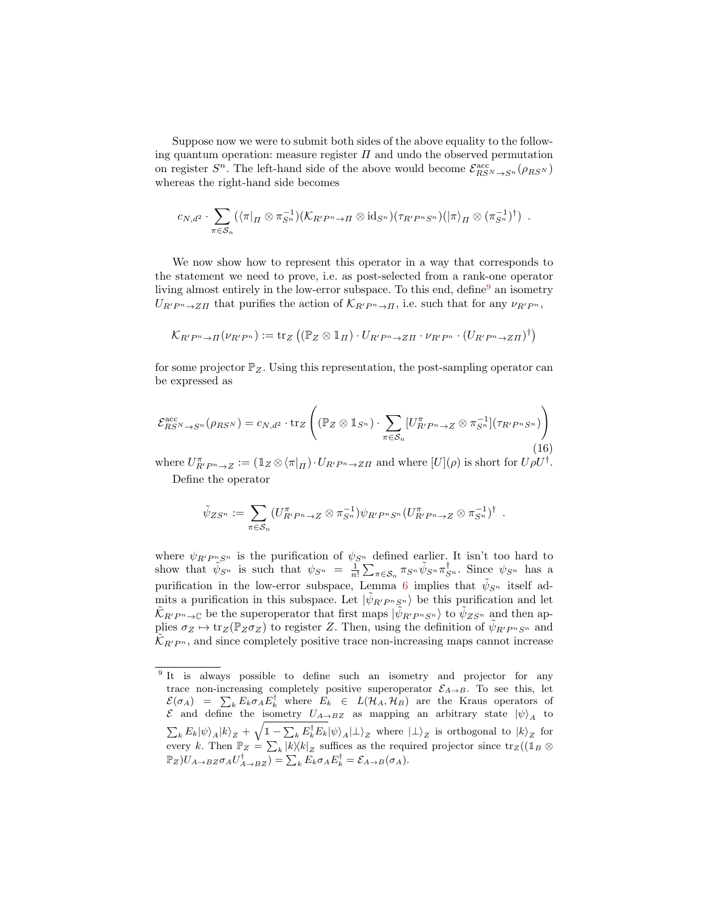Suppose now we were to submit both sides of the above equality to the following quantum operation: measure register  $\Pi$  and undo the observed permutation on register  $S^n$ . The left-hand side of the above would become  $\mathcal{E}^{\text{acc}}_{RS^N \to S^n}(\rho_{RS^N})$ whereas the right-hand side becomes

$$
c_{N,d^2}\cdot\sum_{\pi\in S_n}(\langle \pi|_{\Pi}\otimes \pi_{S^n}^{-1})(\mathcal{K}_{R'P^n\to \Pi}\otimes \mathrm{id}_{S^n})(\tau_{R'P^nS^n})(|\pi\rangle_{\Pi}\otimes (\pi_{S^n}^{-1})^{\dagger})\ .
$$

We now show how to represent this operator in a way that corresponds to the statement we need to prove, i.e. as post-selected from a rank-one operator living almost entirely in the low-error subspace. To this end, define<sup>[9](#page-24-0)</sup> an isometry  $U_{R'P^n \to Z\Pi}$  that purifies the action of  $\mathcal{K}_{R'P^n \to \Pi}$ , i.e. such that for any  $\nu_{R'P^n}$ ,

$$
\mathcal{K}_{R'P^n\rightarrow \Pi}(\nu_{R'P^n}):=\mathop{\mathrm{tr}}\nolimits_Z\left((\mathbb{P}_Z\otimes \mathbb{1}_{\Pi})\cdot U_{R'P^n\rightarrow Z\Pi}\cdot \nu_{R'P^n}\cdot (U_{R'P^n\rightarrow Z\Pi})^{\dagger}\right)
$$

for some projector  $\mathbb{P}_Z$ . Using this representation, the post-sampling operator can be expressed as

<span id="page-24-1"></span>
$$
\mathcal{E}_{RS^N \to S^n}^{\text{acc}}(\rho_{RS^N}) = c_{N,d^2} \cdot \text{tr}_Z \left( (\mathbb{P}_Z \otimes \mathbb{1}_{S^n}) \cdot \sum_{\pi \in S_n} [U_{R'P^n \to Z}^{\pi} \otimes \pi_{S^n}^{-1}] (\tau_{R'P^n S^n}) \right)
$$
(16)

where  $U_{R'P^n\rightarrow Z}^{\pi}:=(1\mathbb{1}_Z\otimes \langle \pi|_{\Pi})\cdot U_{R'P^n\rightarrow Z\Pi}$  and where  $[U](\rho)$  is short for  $U\rho U^{\dagger}$ . Define the operator

$$
\tilde{\psi}_{ZS^n} := \sum_{\pi \in S_n} (U^{\pi}_{R'P^n \to Z} \otimes \pi_{S^n}^{-1}) \psi_{R'P^n S^n} (U^{\pi}_{R'P^n \to Z} \otimes \pi_{S^n}^{-1})^{\dagger}.
$$

where  $\psi_{R'P^{n}S^{n}}$  is the purification of  $\psi_{S^{n}}$  defined earlier. It isn't too hard to show that  $\tilde{\psi}_{S^n}$  is such that  $\psi_{S^n} = \frac{1}{n!} \sum_{\pi \in S_n} \pi_{S^n} \tilde{\psi}_{S^n} \pi_{S^n}^{\dagger}$ . Since  $\psi_{S^n}$  has a purification in the low-error subspace, Lemma [6](#page-22-1) implies that  $\tilde{\psi}_{S^n}$  itself admits a purification in this subspace. Let  $|\psi_{R'P^nS^n}\rangle$  be this purification and let  $\tilde{\mathcal{K}}_{R'P^n\to\mathbb{C}}$  be the superoperator that first maps  $|\tilde{\psi}_{R'P^nS^n}\rangle$  to  $\tilde{\psi}_{ZS^n}$  and then applies  $\sigma_Z \mapsto \text{tr}_Z(\mathbb{P}_Z \sigma_Z)$  to register Z. Then, using the definition of  $\psi_{R'P^nS^n}$  and  $\mathcal{K}_{R'P^n}$ , and since completely positive trace non-increasing maps cannot increase

<span id="page-24-0"></span><sup>&</sup>lt;sup>9</sup> It is always possible to define such an isometry and projector for any trace non-increasing completely positive superoperator  $\mathcal{E}_{A\to B}$ . To see this, let  $\mathcal{E}(\sigma_A) = \sum_k E_k \sigma_A E_k^{\dagger}$  where  $E_k \in L(\mathcal{H}_A, \mathcal{H}_B)$  are the Kraus operators of  $\mathcal E$  and define the isometry  $U_{A\to BZ}$  as mapping an arbitrary state  $|\psi\rangle_A$  to  $\sum_{k} E_k |\psi\rangle_A |k\rangle_Z + \sqrt{\mathbb{1} - \sum_{k} E_k^{\dagger} E_k} |\psi\rangle_A |\perp\rangle_Z$  where  $|\perp\rangle_Z$  is orthogonal to  $|k\rangle_Z$  for every k. Then  $\mathbb{P}_Z = \sum_k |k\rangle\langle k|_Z$  suffices as the required projector since  $\text{tr}_Z((\mathbb{1}_B \otimes$  $\mathbb{P}_Z$ ) $U_{A\to BZ} \sigma_A U_{A\to BZ}^\dagger) = \sum_k E_k \sigma_A E_k^\dagger = \mathcal{E}_{A\to B} (\sigma_A).$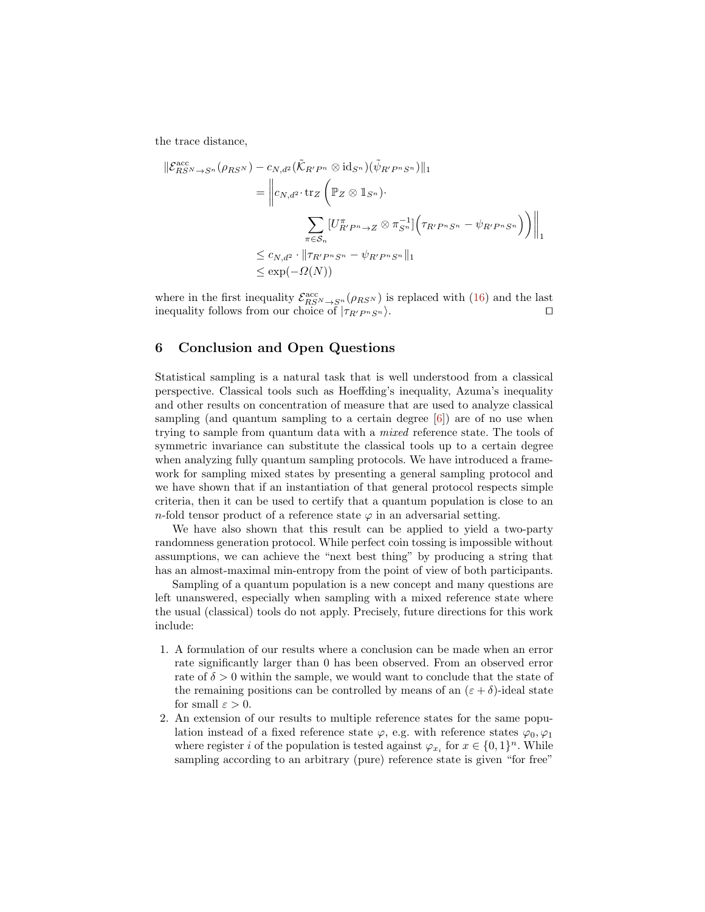the trace distance,

$$
\|\mathcal{E}_{RS^N \to S^n}^{\text{acc}}(\rho_{RS^N}) - c_{N,d^2}(\tilde{\mathcal{K}}_{R'P^n} \otimes id_{S^n})(\tilde{\psi}_{R'P^n S^n})\|_1
$$
  
\n
$$
= \left\| c_{N,d^2} \cdot \text{tr}_Z \left( \mathbb{P}_Z \otimes \mathbb{1}_{S^n} \right) \cdot \sum_{\pi \in \mathcal{S}_n} [U_{R'P^n \to Z}^{\pi} \otimes \pi_{S^n}^{-1}] \left( \tau_{R'P^n S^n} - \psi_{R'P^n S^n} \right) \right) \right\|_1
$$
  
\n
$$
\leq c_{N,d^2} \cdot \|\tau_{R'P^n S^n} - \psi_{R'P^n S^n}\|_1
$$
  
\n
$$
\leq \exp(-\Omega(N))
$$

where in the first inequality  $\mathcal{E}_{RS^N \to S^n}^{acc}(\rho_{RS^N})$  is replaced with [\(16\)](#page-24-1) and the last inequality follows from our choice of  $|\tau_{R'P^nS^n}\rangle$ .

# 6 Conclusion and Open Questions

Statistical sampling is a natural task that is well understood from a classical perspective. Classical tools such as Hoeffding's inequality, Azuma's inequality and other results on concentration of measure that are used to analyze classical sampling (and quantum sampling to a certain degree  $[6]$ ) are of no use when trying to sample from quantum data with a mixed reference state. The tools of symmetric invariance can substitute the classical tools up to a certain degree when analyzing fully quantum sampling protocols. We have introduced a framework for sampling mixed states by presenting a general sampling protocol and we have shown that if an instantiation of that general protocol respects simple criteria, then it can be used to certify that a quantum population is close to an n-fold tensor product of a reference state  $\varphi$  in an adversarial setting.

We have also shown that this result can be applied to yield a two-party randomness generation protocol. While perfect coin tossing is impossible without assumptions, we can achieve the "next best thing" by producing a string that has an almost-maximal min-entropy from the point of view of both participants.

Sampling of a quantum population is a new concept and many questions are left unanswered, especially when sampling with a mixed reference state where the usual (classical) tools do not apply. Precisely, future directions for this work include:

- 1. A formulation of our results where a conclusion can be made when an error rate significantly larger than 0 has been observed. From an observed error rate of  $\delta > 0$  within the sample, we would want to conclude that the state of the remaining positions can be controlled by means of an  $(\varepsilon + \delta)$ -ideal state for small  $\varepsilon > 0$ .
- 2. An extension of our results to multiple reference states for the same population instead of a fixed reference state  $\varphi$ , e.g. with reference states  $\varphi_0, \varphi_1$ where register *i* of the population is tested against  $\varphi_{x_i}$  for  $x \in \{0,1\}^n$ . While sampling according to an arbitrary (pure) reference state is given "for free"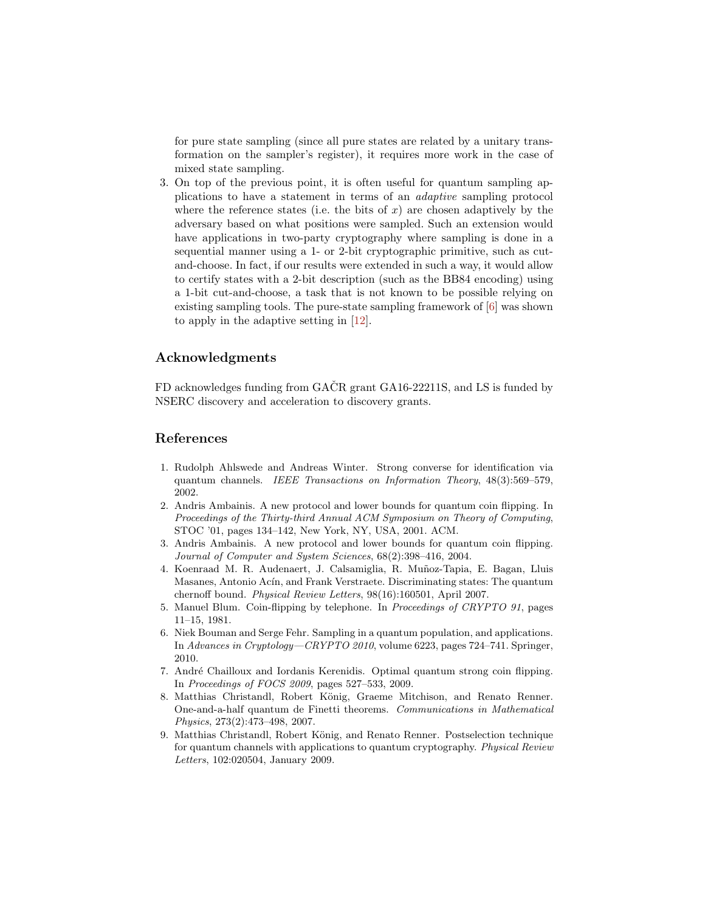for pure state sampling (since all pure states are related by a unitary transformation on the sampler's register), it requires more work in the case of mixed state sampling.

3. On top of the previous point, it is often useful for quantum sampling applications to have a statement in terms of an adaptive sampling protocol where the reference states (i.e. the bits of  $x$ ) are chosen adaptively by the adversary based on what positions were sampled. Such an extension would have applications in two-party cryptography where sampling is done in a sequential manner using a 1- or 2-bit cryptographic primitive, such as cutand-choose. In fact, if our results were extended in such a way, it would allow to certify states with a 2-bit description (such as the BB84 encoding) using a 1-bit cut-and-choose, a task that is not known to be possible relying on existing sampling tools. The pure-state sampling framework of [\[6\]](#page-26-0) was shown to apply in the adaptive setting in [\[12\]](#page-27-2).

## Acknowledgments

FD acknowledges funding from GACR grant GA16-22211S, and LS is funded by NSERC discovery and acceleration to discovery grants.

## References

- <span id="page-26-1"></span>1. Rudolph Ahlswede and Andreas Winter. Strong converse for identification via quantum channels. IEEE Transactions on Information Theory, 48(3):569–579, 2002.
- <span id="page-26-7"></span>2. Andris Ambainis. A new protocol and lower bounds for quantum coin flipping. In Proceedings of the Thirty-third Annual ACM Symposium on Theory of Computing, STOC '01, pages 134–142, New York, NY, USA, 2001. ACM.
- <span id="page-26-5"></span>3. Andris Ambainis. A new protocol and lower bounds for quantum coin flipping. Journal of Computer and System Sciences, 68(2):398–416, 2004.
- <span id="page-26-2"></span>4. Koenraad M. R. Audenaert, J. Calsamiglia, R. Mu˜noz-Tapia, E. Bagan, Lluis Masanes, Antonio Acín, and Frank Verstraete. Discriminating states: The quantum chernoff bound. Physical Review Letters, 98(16):160501, April 2007.
- <span id="page-26-4"></span>5. Manuel Blum. Coin-flipping by telephone. In Proceedings of CRYPTO 91, pages 11–15, 1981.
- <span id="page-26-0"></span>6. Niek Bouman and Serge Fehr. Sampling in a quantum population, and applications. In Advances in Cryptology—CRYPTO 2010, volume 6223, pages 724–741. Springer, 2010.
- <span id="page-26-6"></span>7. Andr´e Chailloux and Iordanis Kerenidis. Optimal quantum strong coin flipping. In Proceedings of FOCS 2009, pages 527–533, 2009.
- <span id="page-26-8"></span>8. Matthias Christandl, Robert König, Graeme Mitchison, and Renato Renner. One-and-a-half quantum de Finetti theorems. Communications in Mathematical Physics, 273(2):473–498, 2007.
- <span id="page-26-3"></span>9. Matthias Christandl, Robert König, and Renato Renner. Postselection technique for quantum channels with applications to quantum cryptography. Physical Review Letters, 102:020504, January 2009.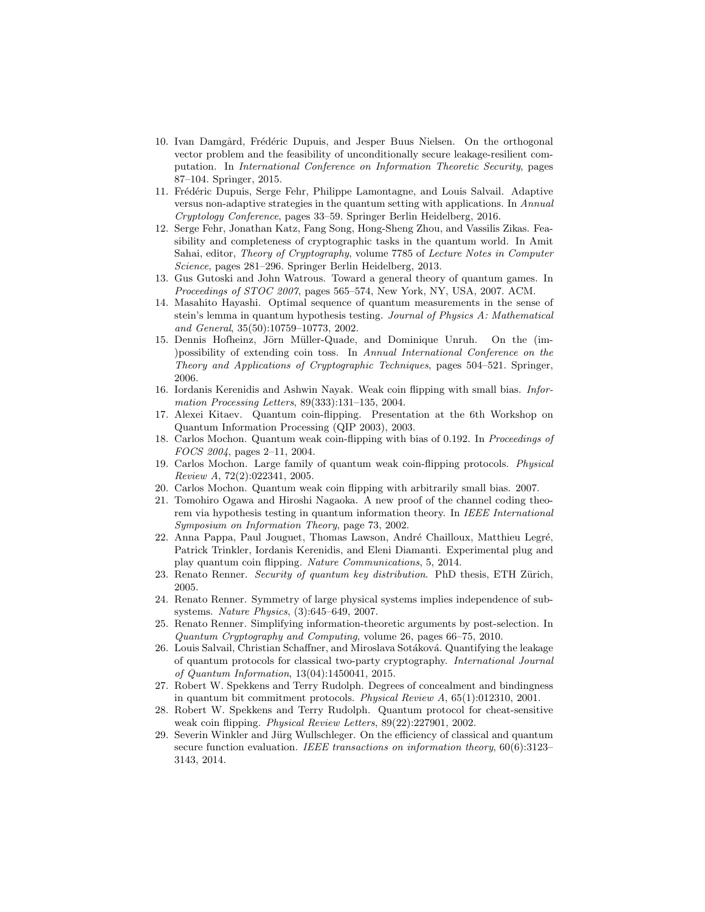- <span id="page-27-0"></span>10. Ivan Damgård, Frédéric Dupuis, and Jesper Buus Nielsen. On the orthogonal vector problem and the feasibility of unconditionally secure leakage-resilient computation. In International Conference on Information Theoretic Security, pages 87–104. Springer, 2015.
- <span id="page-27-1"></span>11. Frédéric Dupuis, Serge Fehr, Philippe Lamontagne, and Louis Salvail. Adaptive versus non-adaptive strategies in the quantum setting with applications. In Annual Cryptology Conference, pages 33–59. Springer Berlin Heidelberg, 2016.
- <span id="page-27-2"></span>12. Serge Fehr, Jonathan Katz, Fang Song, Hong-Sheng Zhou, and Vassilis Zikas. Feasibility and completeness of cryptographic tasks in the quantum world. In Amit Sahai, editor, Theory of Cryptography, volume 7785 of Lecture Notes in Computer Science, pages 281–296. Springer Berlin Heidelberg, 2013.
- <span id="page-27-9"></span>13. Gus Gutoski and John Watrous. Toward a general theory of quantum games. In Proceedings of STOC 2007, pages 565–574, New York, NY, USA, 2007. ACM.
- <span id="page-27-18"></span>14. Masahito Hayashi. Optimal sequence of quantum measurements in the sense of stein's lemma in quantum hypothesis testing. Journal of Physics A: Mathematical and General, 35(50):10759–10773, 2002.
- <span id="page-27-4"></span>15. Dennis Hofheinz, Jörn Müller-Quade, and Dominique Unruh. On the (im-)possibility of extending coin toss. In Annual International Conference on the Theory and Applications of Cryptographic Techniques, pages 504–521. Springer, 2006.
- <span id="page-27-10"></span>16. Iordanis Kerenidis and Ashwin Nayak. Weak coin flipping with small bias. Information Processing Letters, 89(333):131–135, 2004.
- <span id="page-27-8"></span>17. Alexei Kitaev. Quantum coin-flipping. Presentation at the 6th Workshop on Quantum Information Processing (QIP 2003), 2003.
- <span id="page-27-12"></span>18. Carlos Mochon. Quantum weak coin-flipping with bias of 0.192. In Proceedings of FOCS 2004, pages 2–11, 2004.
- <span id="page-27-13"></span>19. Carlos Mochon. Large family of quantum weak coin-flipping protocols. Physical Review A, 72(2):022341, 2005.
- <span id="page-27-14"></span>20. Carlos Mochon. Quantum weak coin flipping with arbitrarily small bias. 2007.
- <span id="page-27-19"></span>21. Tomohiro Ogawa and Hiroshi Nagaoka. A new proof of the channel coding theorem via hypothesis testing in quantum information theory. In IEEE International Symposium on Information Theory, page 73, 2002.
- <span id="page-27-15"></span>22. Anna Pappa, Paul Jouguet, Thomas Lawson, André Chailloux, Matthieu Legré, Patrick Trinkler, Iordanis Kerenidis, and Eleni Diamanti. Experimental plug and play quantum coin flipping. Nature Communications, 5, 2014.
- <span id="page-27-5"></span>23. Renato Renner. Security of quantum key distribution. PhD thesis, ETH Zürich, 2005.
- <span id="page-27-6"></span>24. Renato Renner. Symmetry of large physical systems implies independence of subsystems. Nature Physics, (3):645–649, 2007.
- <span id="page-27-17"></span>25. Renato Renner. Simplifying information-theoretic arguments by post-selection. In Quantum Cryptography and Computing, volume 26, pages 66–75, 2010.
- <span id="page-27-16"></span>26. Louis Salvail, Christian Schaffner, and Miroslava Sotáková. Quantifying the leakage of quantum protocols for classical two-party cryptography. International Journal of Quantum Information, 13(04):1450041, 2015.
- <span id="page-27-7"></span>27. Robert W. Spekkens and Terry Rudolph. Degrees of concealment and bindingness in quantum bit commitment protocols. Physical Review A, 65(1):012310, 2001.
- <span id="page-27-11"></span>28. Robert W. Spekkens and Terry Rudolph. Quantum protocol for cheat-sensitive weak coin flipping. Physical Review Letters, 89(22):227901, 2002.
- <span id="page-27-3"></span>29. Severin Winkler and Jürg Wullschleger. On the efficiency of classical and quantum secure function evaluation. IEEE transactions on information theory, 60(6):3123-3143, 2014.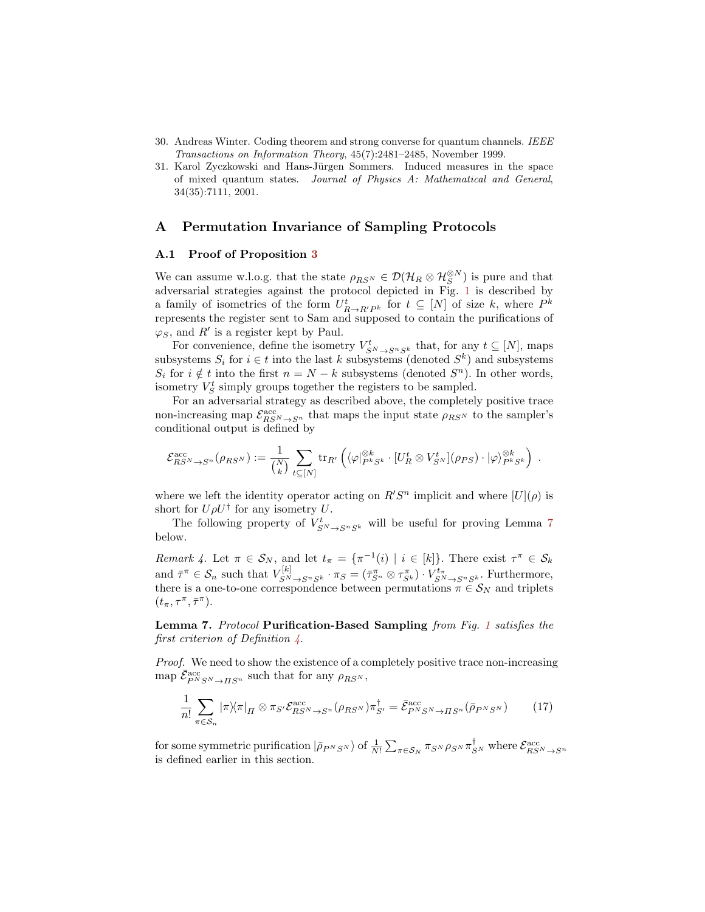- <span id="page-28-2"></span>30. Andreas Winter. Coding theorem and strong converse for quantum channels. IEEE Transactions on Information Theory, 45(7):2481–2485, November 1999.
- <span id="page-28-1"></span>31. Karol Zyczkowski and Hans-Jürgen Sommers. Induced measures in the space of mixed quantum states. Journal of Physics A: Mathematical and General, 34(35):7111, 2001.

## A Permutation Invariance of Sampling Protocols

## <span id="page-28-0"></span>A.1 Proof of Proposition [3](#page-18-0)

We can assume w.l.o.g. that the state  $\rho_{RS^N} \in \mathcal{D}(\mathcal{H}_R \otimes \mathcal{H}_S^{\otimes N})$  is pure and that adversarial strategies against the protocol depicted in Fig. [1](#page-9-0) is described by a family of isometries of the form  $U^t_{R\to R'P^k}$  for  $t\subseteq [N]$  of size k, where  $P^k$ represents the register sent to Sam and supposed to contain the purifications of  $\varphi_S$ , and R' is a register kept by Paul.

For convenience, define the isometry  $V_{S^N \to S^n S^k}^t$  that, for any  $t \subseteq [N]$ , maps subsystems  $S_i$  for  $i \in t$  into the last k subsystems (denoted  $S^k$ ) and subsystems  $S_i$  for  $i \notin t$  into the first  $n = N - k$  subsystems (denoted  $S<sup>n</sup>$ ). In other words, isometry  $V_S^t$  simply groups together the registers to be sampled.

For an adversarial strategy as described above, the completely positive trace non-increasing map  $\mathcal{E}_{RS^N \to S^n}^{acc}$  that maps the input state  $\rho_{RS^N}$  to the sampler's conditional output is defined by

$$
\mathcal{E}_{RS^N \to S^n}^{\mathrm{acc}}(\rho_{RS^N}) := \frac{1}{\binom{N}{k}} \sum_{t \subseteq [N]} \mathrm{tr}_{R'} \left( \langle \varphi |_{P^k S^k}^{\otimes k} \cdot [U_R^t \otimes V_{S^N}^t] (\rho_{PS}) \cdot |\varphi\rangle_{P^k S^k}^{\otimes k} \right) .
$$

where we left the identity operator acting on  $R'S^n$  implicit and where  $[U](\rho)$  is short for  $U \rho U^{\dagger}$  for any isometry U.

<span id="page-28-4"></span>The following property of  $V_{S^N \to S^n S^k}^t$  will be useful for proving Lemma [7](#page-28-3) below.

Remark 4. Let  $\pi \in \mathcal{S}_N$ , and let  $t_{\pi} = {\pi^{-1}(i) \mid i \in [k]}$ . There exist  $\tau^{\pi} \in \mathcal{S}_k$ and  $\bar{\tau}^{\pi} \in \mathcal{S}_n$  such that  $V_{S^N \to S^n S^k}^{[k]} \cdot \pi_S = (\bar{\tau}_{S^n}^{\pi} \otimes \tau_{S^k}^{\pi}) \cdot V_{S^N \to S^n S^k}^{t_{\pi}}$ . Furthermore, there is a one-to-one correspondence between permutations  $\pi \in \mathcal{S}_N$  and triplets  $(t_\pi, \tau^\pi, \bar{\tau}^\pi).$ 

<span id="page-28-3"></span>Lemma 7. Protocol Purification-Based Sampling from Fig. [1](#page-9-0) satisfies the first criterion of Definition [4.](#page-17-2)

Proof. We need to show the existence of a completely positive trace non-increasing map  $\bar{\mathcal{E}}_{P^N S^N \to \Pi S^n}^{\text{acc}}$  such that for any  $\rho_{RS^N}$ ,

<span id="page-28-5"></span>
$$
\frac{1}{n!} \sum_{\pi \in S_n} |\pi \rangle \langle \pi|_{\Pi} \otimes \pi_{S'} \mathcal{E}_{RS^N \to S^n}^{\text{acc}}(\rho_{RS^N}) \pi_{S'}^{\dagger} = \bar{\mathcal{E}}_{PN^N S^N \to \Pi S^n}^{\text{acc}}(\bar{\rho}_{PN^N})
$$
(17)

for some symmetric purification  $|\bar \rho_{P^NSN}\rangle$  of  $\frac{1}{N!}\sum_{\pi \in \mathcal{S}_N} \pi_{S^N} \rho_{S^N} \pi_{S^N}^{\dagger}$  where  $\mathcal{E}^{\text{acc}}_{RS^N \to S^n}$ is defined earlier in this section.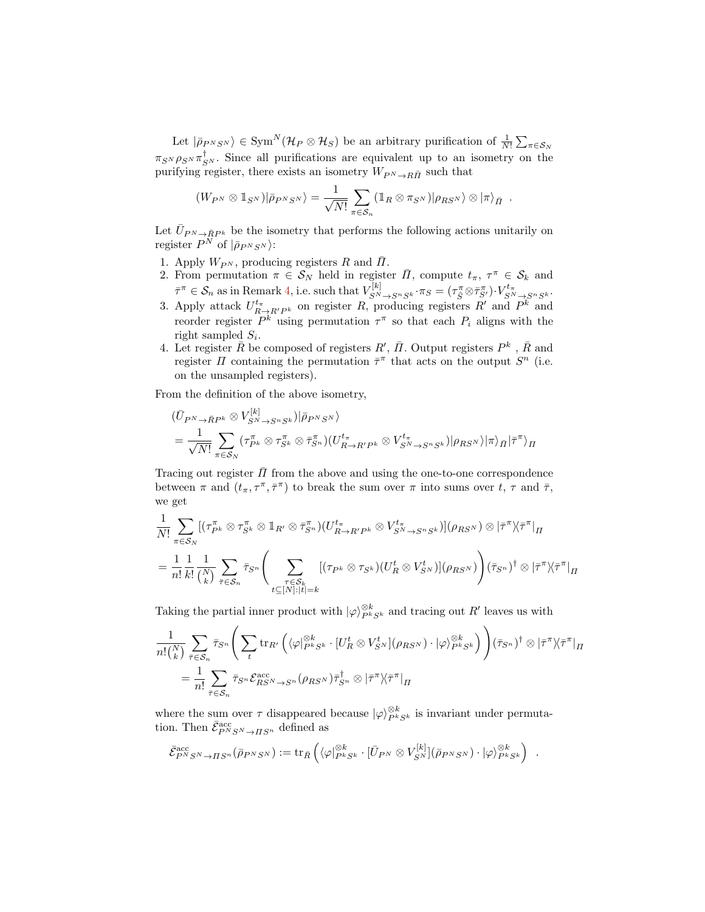Let  $|\bar{\rho}_{P^NS^N}\rangle \in \text{Sym}^N(\mathcal{H}_P \otimes \mathcal{H}_S)$  be an arbitrary purification of  $\frac{1}{N!}\sum_{\pi \in \mathcal{S}_N}$  $\pi_{S^N} \rho_{S^N} \pi_{S^N}^{\dagger}$ . Since all purifications are equivalent up to an isometry on the purifying register, there exists an isometry  $W_{P_N \to R\bar{T}_1}$  such that

$$
(W_{P^N} \otimes \mathbb{1}_{S^N})|\bar{\rho}_{P^NS^N}\rangle = \frac{1}{\sqrt{N!}}\sum_{\pi \in S_n} (\mathbb{1}_R \otimes \pi_{S^N})|\rho_{RS^N}\rangle \otimes |\pi\rangle_{\bar{\Pi}}.
$$

Let  $\bar{U}_{P^N\to \bar{R}P^k}$  be the isometry that performs the following actions unitarily on register  $P^N$  of  $|\bar{\rho}_{P^NS^N}\rangle$ :

- 1. Apply  $W_{P^N}$ , producing registers R and  $\overline{\Pi}$ .
- 2. From permutation  $\pi \in S_N$  held in register  $\bar{\Pi}$ , compute  $t_{\pi}$ ,  $\tau^{\pi} \in S_k$  and  $\bar{\tau}^{\pi} \in \mathcal{S}_n$  as in Remark [4,](#page-28-4) i.e. such that  $V_{S^N \to S^n S^k}^{[k]} \cdot \pi_S = (\tau_{\hat{S}}^{\pi} \otimes \bar{\tau}_{S'}^{\pi}) \cdot V_{S^N \to S^n S^k}^{t_{\pi}}$ .
- 3. Apply attack  $U_{R\to R'P^k}^{\dagger_{\pi}}$  on register R, producing registers R' and  $P^k$  and reorder register  $P^k$  using permutation  $\tau^{\pi}$  so that each  $P_i$  aligns with the right sampled  $S_i$ .
- 4. Let register  $\bar{R}$  be composed of registers  $R', \bar{\Pi}$ . Output registers  $P^k$ ,  $\bar{R}$  and register  $\Pi$  containing the permutation  $\bar{\tau}^{\pi}$  that acts on the output  $S^n$  (i.e. on the unsampled registers).

From the definition of the above isometry,

$$
\begin{split}\n&(\bar{U}_{P^N\to \bar{R}P^k}\otimes V_{S^N\to S^nS^k}^{[k]})|\bar{\rho}_{P^NS^N}\rangle \\
&=\frac{1}{\sqrt{N!}}\sum_{\pi\in\mathcal{S}_N}(\tau_{P^k}^{\pi}\otimes\tau_{S^k}^{\pi}\otimes\bar{\tau}_{S^n}^{\pi})(U_{R\to R'P^k}^{t_{\pi}}\otimes V_{S^N\to S^nS^k}^{t_{\pi}})|\rho_{RS^N}\rangle|\pi\rangle_{\bar{\Pi}}|\bar{\tau}^{\pi}\rangle_{\bar{\Pi}}\n\end{split}
$$

Tracing out register  $\bar{\Pi}$  from the above and using the one-to-one correspondence between  $\pi$  and  $(t_{\pi}, \tau^{\pi}, \bar{\tau}^{\pi})$  to break the sum over  $\pi$  into sums over  $t, \tau$  and  $\bar{\tau}$ , we get

$$
\frac{1}{N!} \sum_{\pi \in S_N} [(\tau_{P^k}^{\pi} \otimes \tau_{S^k}^{\pi} \otimes 1_{R'} \otimes \bar{\tau}_{S^n}^{\pi}) (U_{R \to R'P^k}^{t_{\pi}} \otimes V_{S^N \to S^n S^k}^{t_{\pi}})](\rho_{RS^N}) \otimes |\bar{\tau}^{\pi} \rangle \langle \bar{\tau}^{\pi}|_{\Pi}
$$
\n
$$
= \frac{1}{n!} \frac{1}{k!} \frac{1}{\binom{N}{k}} \sum_{\bar{\tau} \in S_n} \bar{\tau}_{S^n} \Bigg( \sum_{\substack{\tau \in S_k \\ t \subseteq [N]: |t| = k}} [(\tau_{P^k} \otimes \tau_{S^k}) (U_R^t \otimes V_{S^N}^t)](\rho_{RS^N}) \Bigg) (\bar{\tau}_{S^n})^{\dagger} \otimes |\bar{\tau}^{\pi} \rangle \langle \bar{\tau}^{\pi}|_{\Pi}
$$

Taking the partial inner product with  $|\varphi\rangle_{P^k S^k}^{\otimes k}$  and tracing out  $R'$  leaves us with

$$
\frac{1}{n!(\substack{N\\k}}\sum_{\bar{\tau}\in\mathcal{S}_n}\bar{\tau}_{S^n}\Bigg(\sum_{t}\text{tr}_{R'}\left(\langle\varphi|_{P^kS^k}^{\otimes k}\cdot[U_R^t\otimes V_{S^N}^t](\rho_{RS^N})\cdot|\varphi\rangle_{P^kS^k}^{\otimes k}\right)\Bigg)(\bar{\tau}_{S^n})^{\dagger}\otimes|\bar{\tau}^{\pi}\rangle\langle\bar{\tau}^{\pi}|_{\Pi}
$$
\n
$$
=\frac{1}{n!}\sum_{\bar{\tau}\in\mathcal{S}_n}\bar{\tau}_{S^n}\mathcal{E}_{RS^N\to S^n}^{\text{acc}}(\rho_{RS^N})\bar{\tau}_{S^n}^{\dagger}\otimes|\bar{\tau}^{\pi}\rangle\langle\bar{\tau}^{\pi}|_{\Pi}
$$

where the sum over  $\tau$  disappeared because  $|\varphi\rangle_{P^kS^k}^{\otimes k}$  is invariant under permutation. Then  $\bar{\mathcal{E}}_{P^{N}S^{N}\rightarrow HS^{n}}^{\text{acc}}$  defined as

$$
\bar{\mathcal{E}}_{P^NS^N\to HS^n}^{acc}(\bar{\rho}_{P^NS^N}):=\text{tr}_{\bar{R}}\left( \langle \varphi|_{P^kS^k}^{\otimes k}\cdot [\bar{U}_{P^N}\otimes V_{S^N}^{[k]}](\bar{\rho}_{P^NS^N})\cdot |\varphi\rangle_{P^kS^k}^{\otimes k} \right) .
$$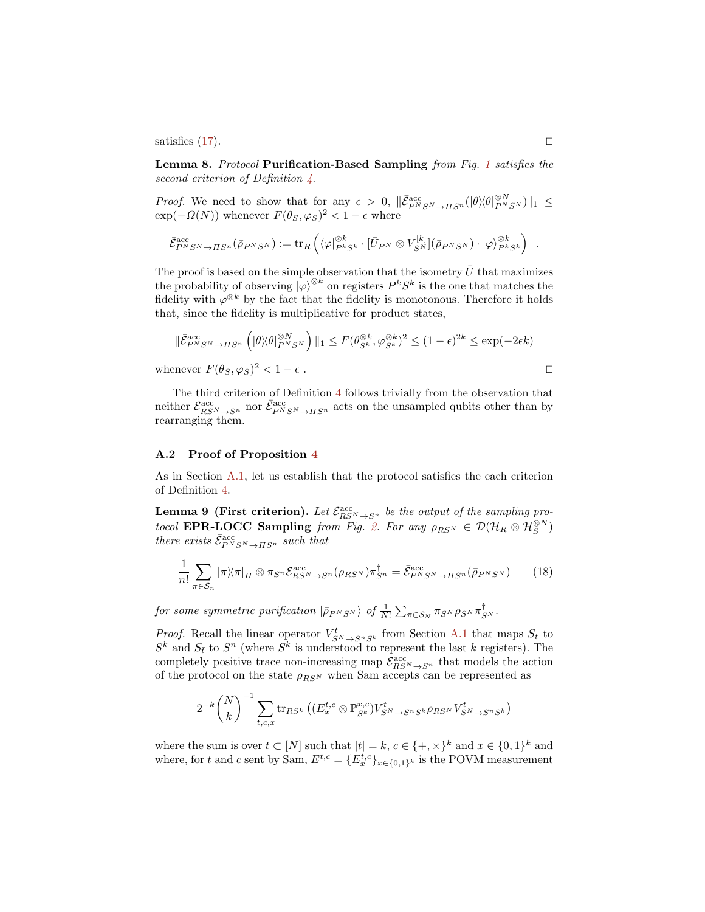satisfies [\(17\)](#page-28-5).  $\Box$ 

Lemma 8. Protocol Purification-Based Sampling from Fig. [1](#page-9-0) satisfies the second criterion of Definition [4.](#page-17-2)

*Proof.* We need to show that for any  $\epsilon > 0$ ,  $\|\bar{\mathcal{E}}_{P^N S^N \to \Pi S^n}^{\text{acc}}(|\theta\rangle\langle\theta|_{P^N S^N}^{\otimes N})\|_1 \leq$  $\exp(-\Omega(N))$  whenever  $F(\theta_S, \varphi_S)^2 < 1 - \epsilon$  where

$$
\bar{\mathcal{E}}_{P^NS^N\to HS^n}^{acc}(\bar{\rho}_{P^NS^N}):=\text{tr}_{\bar{R}}\left( \langle \varphi|_{P^kS^k}^{\otimes k}\cdot [\bar{U}_{P^N}\otimes V_{S^N}^{[k]}](\bar{\rho}_{P^NS^N})\cdot |\varphi\rangle_{P^kS^k}^{\otimes k}\right)
$$

The proof is based on the simple observation that the isometry  $\bar{U}$  that maximizes the probability of observing  $|\varphi\rangle^{\otimes k}$  on registers  $P^k S^k$  is the one that matches the fidelity with  $\varphi^{\otimes k}$  by the fact that the fidelity is monotonous. Therefore it holds that, since the fidelity is multiplicative for product states,

$$
\|\bar{\mathcal{E}}_{P^NS^N \to \Pi S^n}^{\text{acc}}\left( |\theta \rangle \langle \theta |_{P^NS^N}^{\otimes N} \right)\|_1 \le F(\theta_{S^k}^{\otimes k}, \varphi_{S^k}^{\otimes k})^2 \le (1 - \epsilon)^{2k} \le \exp(-2\epsilon k)
$$
\nwhenever  $F(\theta_S, \varphi_S)^2 < 1 - \epsilon$ .

The third criterion of Definition [4](#page-17-2) follows trivially from the observation that neither  $\mathcal{E}_{RS^N\to S^n}^{\text{acc}}$  nor  $\bar{\mathcal{E}}_{PN;SN\to \Pi S^n}^{\text{acc}}$  acts on the unsampled qubits other than by rearranging them.

## <span id="page-30-0"></span>A.2 Proof of Proposition [4](#page-19-1)

<span id="page-30-1"></span>As in Section [A.1,](#page-28-0) let us establish that the protocol satisfies the each criterion of Definition [4.](#page-17-2)

**Lemma 9 (First criterion).** Let  $\mathcal{E}_{RS^N \to S^n}^{acc}$  be the output of the sampling pro-tocol EPR-LOCC Sampling from Fig. [2.](#page-12-1) For any  $\rho_{RS^N} \in \mathcal{D}(\mathcal{H}_R \otimes \mathcal{H}_S^{\otimes N})$ there exists  $\bar{\mathcal{E}}_{P^N S^N \to \Pi S^n}^{acc}$  such that

$$
\frac{1}{n!} \sum_{\pi \in S_n} |\pi \rangle \langle \pi|_{\Pi} \otimes \pi_{S^n} \mathcal{E}_{RS^N \to S^n}^{\text{acc}}(\rho_{RS^N}) \pi_{S^n}^{\dagger} = \bar{\mathcal{E}}_{P^N S^N \to \Pi S^n}^{\text{acc}}(\bar{\rho}_{P^N S^N}) \tag{18}
$$

for some symmetric purification  $|\bar{\rho}_{P^N S^N}\rangle$  of  $\frac{1}{N!} \sum_{\pi \in \mathcal{S}_N} \pi_{S^N} \rho_{S^N} \pi_{S^N}^\dagger$ .

*Proof.* Recall the linear operator  $V_{S^N \to S^n S^k}^t$  from Section [A.1](#page-28-0) that maps  $S_t$  to  $S^k$  and  $S_{\bar{t}}$  to  $S^n$  (where  $S^k$  is understood to represent the last k registers). The completely positive trace non-increasing map  $\mathcal{E}_{RS^N \to S^n}^{acc}$  that models the action of the protocol on the state  $\rho_{RS^N}$  when Sam accepts can be represented as

$$
2^{-k}\binom{N}{k}^{-1}\sum_{t,c,x}\operatorname{tr}_{RS^k}\left((E_x^{t,c}\otimes \mathbb{P}_{S^k}^{x,c})V_{S^N\to S^nS^k}^t\rho_{RS^N}V_{S^N\to S^nS^k}^t\right)
$$

where the sum is over  $t \subset [N]$  such that  $|t| = k, c \in \{+, \times\}^k$  and  $x \in \{0, 1\}^k$  and where, for t and c sent by Sam,  $E^{t,c} = \{E_x^{t,c}\}_{x \in \{0,1\}^k}$  is the POVM measurement

.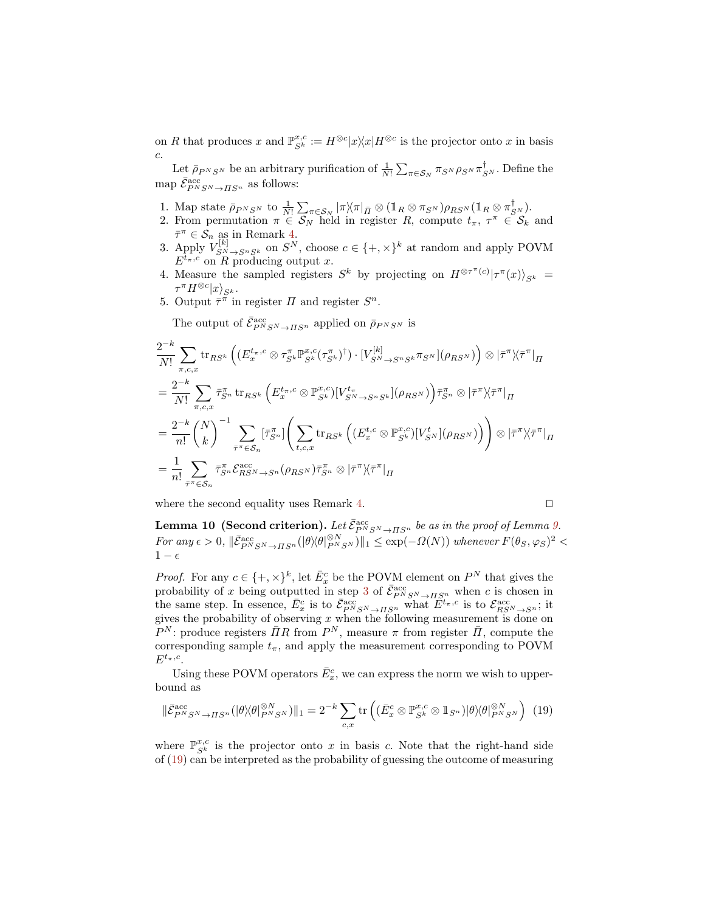on R that produces x and  $\mathbb{P}^{x,c}_{S^k} := H^{\otimes c} |x\rangle\langle x| H^{\otimes c}$  is the projector onto x in basis c.

Let  $\bar{\rho}_{P^NS}$  be an arbitrary purification of  $\frac{1}{N!} \sum_{\pi \in S_N} \pi_{S^N} \rho_{S^N} \pi_{S^N}^{\dagger}$ . Define the map  $\bar{\mathcal{E}}_{P^N S^N \to \Pi S^n}$  as follows:

- 1. Map state  $\bar{\rho}_{P^NS^N}$  to  $\frac{1}{N!} \sum_{\pi \in S_N} |\pi \rangle \langle \pi|_{\bar{\Pi}} \otimes (\mathbb{1}_R \otimes \pi_{S^N}) \rho_{RS^N} (\mathbb{1}_R \otimes \pi_{S^N}^{\dagger}).$
- 2. From permutation  $\pi \in \overline{S_N}$  held in register R, compute  $t_{\pi}$ ,  $\tau^{\pi} \in \overline{S_k}$  and  $\bar{\tau}^{\pi} \in \mathcal{S}_n$  as in Remark [4.](#page-28-4)
- <span id="page-31-0"></span>3. Apply  $V_{S^N \to S^n S^k}^{[k]}$  on  $S^N$ , choose  $c \in \{+, \times\}^k$  at random and apply POVM  $E^{t_{\pi},c}$  on R producing output x.
- 4. Measure the sampled registers  $S^k$  by projecting on  $H^{\otimes \tau^{\pi}(c)}|\tau^{\pi}(x)\rangle_{S^k} =$  $\tau^{\pi} H^{\otimes c} |x\rangle_{S^k}$ .
- 5. Output  $\bar{\tau}^{\bar{\pi}}$  in register  $\Pi$  and register  $S^n$ .

The output of  $\bar{\mathcal{E}}_{PN\,SN\rightarrow\Pi S^n}^{acc}$  applied on  $\bar{\rho}_{PN\,S^N}$  is

$$
\frac{2^{-k}}{N!} \sum_{\pi,c,x} \text{tr}_{RS^k} \left( (E_x^{t_{\pi},c} \otimes \tau_{S^k}^{\pi} \mathbb{P}_{S^k}^{x,c} (\tau_{S^k}^{\pi})^{\dagger}) \cdot [V_{S^N \to S^n S^k}^{[k]} \pi_{S^N}] (\rho_{RS^N}) \right) \otimes |\bar{\tau}^{\pi} \rangle \langle \bar{\tau}^{\pi}|_{\Pi}
$$
\n
$$
= \frac{2^{-k}}{N!} \sum_{\pi,c,x} \bar{\tau}_{S^n}^{\pi} \text{tr}_{RS^k} \left( E_x^{t_{\pi},c} \otimes \mathbb{P}_{S^k}^{x,c} [V_{S^N \to S^n S^k}^{t*}] (\rho_{RS^N}) \right) \bar{\tau}_{S^n}^{\pi} \otimes |\bar{\tau}^{\pi} \rangle \langle \bar{\tau}^{\pi}|_{\Pi}
$$
\n
$$
= \frac{2^{-k}}{n!} {N \choose k}^{-1} \sum_{\bar{\tau}^{\pi} \in S_n} [\bar{\tau}_{S^n}^{\pi}] \left( \sum_{t,c,x} \text{tr}_{RS^k} \left( (E_x^{t,c} \otimes \mathbb{P}_{S^k}^{x,c}) [V_{S^N}^t] (\rho_{RS^N}) \right) \right) \otimes |\bar{\tau}^{\pi} \rangle \langle \bar{\tau}^{\pi}|_{\Pi}
$$
\n
$$
= \frac{1}{n!} \sum_{\bar{\tau}^{\pi} \in S_n} \bar{\tau}_{S^n}^{\pi} \mathcal{E}_{RS^N \to S^n}^{\text{acc}} (\rho_{RS^N}) \bar{\tau}_{S^n}^{\pi} \otimes |\bar{\tau}^{\pi} \rangle \langle \bar{\tau}^{\pi}|_{\Pi}
$$

where the second equality uses Remark [4.](#page-28-4)

$$
\square
$$

**Lemma 10** (Second criterion). Let  $\bar{\mathcal{E}}_{PN;SN\rightarrow HS}^{acc}$  be as in the proof of Lemma [9.](#page-30-1) For any  $\epsilon > 0$ ,  $\|\bar{\mathcal{E}}_{P^NS^N\to HS^n}^{acc}(\vert\theta\rangle\langle\theta\vert_{P^NS^N}^{\otimes N})\|_1 \leq \exp(-\varOmega(N))$  whenever  $F(\theta_S,\varphi_S)^2 <$  $1 - \epsilon$ 

*Proof.* For any  $c \in \{+, \times\}^k$ , let  $\overline{E}_x^c$  be the POVM element on  $P^N$  that gives the probability of x being outputted in step [3](#page-31-0) of  $\bar{\mathcal{E}}_{PN,SN\to HS_n}^{acc}$  when c is chosen in the same step. In essence,  $\bar{E}_{x}^{c}$  is to  $\bar{\mathcal{E}}_{PN,SN\rightarrow\Pi S^{n}}^{acc}$  what  $E^{t_{\pi},c}$  is to  $\mathcal{E}_{RS^{N}\rightarrow S^{n}}^{acc}$ ; it gives the probability of observing  $x$  when the following measurement is done on  $P^N$ : produce registers  $\bar{H}R$  from  $P^N$ , measure  $\pi$  from register  $\bar{H}$ , compute the corresponding sample  $t_{\pi}$ , and apply the measurement corresponding to POVM  $E^{t_{\pi},c}.$ 

Using these POVM operators  $\bar{E}^c_x$ , we can express the norm we wish to upperbound as

<span id="page-31-1"></span>
$$
\|\bar{\mathcal{E}}_{P^N S^N \to \Pi S^n}^{\mathrm{acc}}(|\theta\rangle\langle\theta|_{P^N S^N}^{\otimes N})\|_1 = 2^{-k} \sum_{c,x} \mathrm{tr}\left( (\bar{E}_x^c \otimes \mathbb{P}_{S^k}^{x,c} \otimes \mathbb{1}_{S^n})|\theta\rangle\langle\theta|_{P^N S^N}^{\otimes N} \right) (19)
$$

where  $\mathbb{P}^{x,c}_{S^k}$  is the projector onto x in basis c. Note that the right-hand side of  $(19)$  can be interpreted as the probability of guessing the outcome of measuring